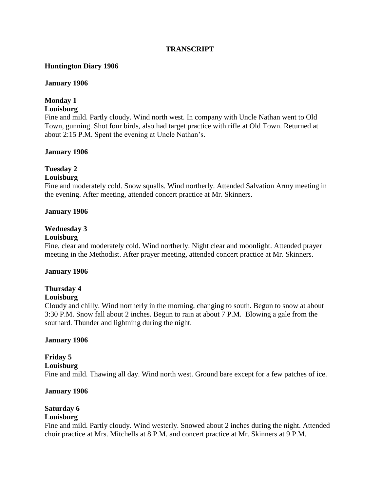#### **TRANSCRIPT**

#### **Huntington Diary 1906**

#### **January 1906**

### **Monday 1**

### **Louisburg**

Fine and mild. Partly cloudy. Wind north west. In company with Uncle Nathan went to Old Town, gunning. Shot four birds, also had target practice with rifle at Old Town. Returned at about 2:15 P.M. Spent the evening at Uncle Nathan's.

#### **January 1906**

### **Tuesday 2**

#### **Louisburg**

Fine and moderately cold. Snow squalls. Wind northerly. Attended Salvation Army meeting in the evening. After meeting, attended concert practice at Mr. Skinners.

#### **January 1906**

#### **Wednesday 3**

#### **Louisburg**

Fine, clear and moderately cold. Wind northerly. Night clear and moonlight. Attended prayer meeting in the Methodist. After prayer meeting, attended concert practice at Mr. Skinners.

#### **January 1906**

# **Thursday 4**

### **Louisburg**

Cloudy and chilly. Wind northerly in the morning, changing to south. Begun to snow at about 3:30 P.M. Snow fall about 2 inches. Begun to rain at about 7 P.M. Blowing a gale from the southard. Thunder and lightning during the night.

#### **January 1906**

#### **Friday 5**

### **Louisburg**

Fine and mild. Thawing all day. Wind north west. Ground bare except for a few patches of ice.

#### **January 1906**

# **Saturday 6**

# **Louisburg**

Fine and mild. Partly cloudy. Wind westerly. Snowed about 2 inches during the night. Attended choir practice at Mrs. Mitchells at 8 P.M. and concert practice at Mr. Skinners at 9 P.M.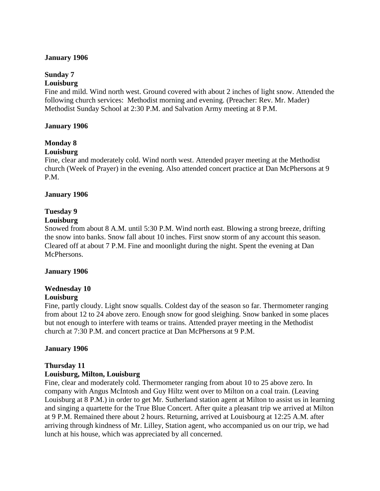#### **January 1906**

# **Sunday 7**

## **Louisburg**

Fine and mild. Wind north west. Ground covered with about 2 inches of light snow. Attended the following church services: Methodist morning and evening. (Preacher: Rev. Mr. Mader) Methodist Sunday School at 2:30 P.M. and Salvation Army meeting at 8 P.M.

#### **January 1906**

# **Monday 8**

### **Louisburg**

Fine, clear and moderately cold. Wind north west. Attended prayer meeting at the Methodist church (Week of Prayer) in the evening. Also attended concert practice at Dan McPhersons at 9 P.M.

#### **January 1906**

### **Tuesday 9**

#### **Louisburg**

Snowed from about 8 A.M. until 5:30 P.M. Wind north east. Blowing a strong breeze, drifting the snow into banks. Snow fall about 10 inches. First snow storm of any account this season. Cleared off at about 7 P.M. Fine and moonlight during the night. Spent the evening at Dan McPhersons.

#### **January 1906**

# **Wednesday 10**

#### **Louisburg**

Fine, partly cloudy. Light snow squalls. Coldest day of the season so far. Thermometer ranging from about 12 to 24 above zero. Enough snow for good sleighing. Snow banked in some places but not enough to interfere with teams or trains. Attended prayer meeting in the Methodist church at 7:30 P.M. and concert practice at Dan McPhersons at 9 P.M.

### **January 1906**

# **Thursday 11**

### **Louisburg, Milton, Louisburg**

Fine, clear and moderately cold. Thermometer ranging from about 10 to 25 above zero. In company with Angus McIntosh and Guy Hiltz went over to Milton on a coal train. (Leaving Louisburg at 8 P.M.) in order to get Mr. Sutherland station agent at Milton to assist us in learning and singing a quartette for the True Blue Concert. After quite a pleasant trip we arrived at Milton at 9 P.M. Remained there about 2 hours. Returning, arrived at Louisbourg at 12:25 A.M. after arriving through kindness of Mr. Lilley, Station agent, who accompanied us on our trip, we had lunch at his house, which was appreciated by all concerned.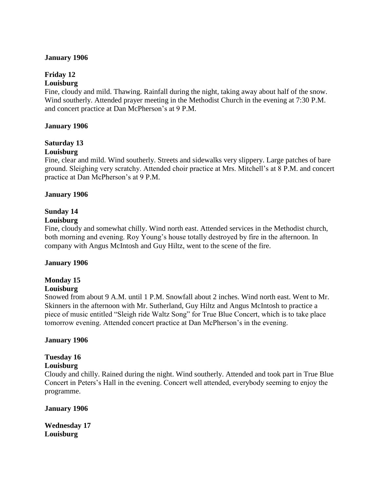#### **January 1906**

# **Friday 12**

### **Louisburg**

Fine, cloudy and mild. Thawing. Rainfall during the night, taking away about half of the snow. Wind southerly. Attended prayer meeting in the Methodist Church in the evening at 7:30 P.M. and concert practice at Dan McPherson's at 9 P.M.

#### **January 1906**

# **Saturday 13**

### **Louisburg**

Fine, clear and mild. Wind southerly. Streets and sidewalks very slippery. Large patches of bare ground. Sleighing very scratchy. Attended choir practice at Mrs. Mitchell's at 8 P.M. and concert practice at Dan McPherson's at 9 P.M.

### **January 1906**

### **Sunday 14**

#### **Louisburg**

Fine, cloudy and somewhat chilly. Wind north east. Attended services in the Methodist church, both morning and evening. Roy Young's house totally destroyed by fire in the afternoon. In company with Angus McIntosh and Guy Hiltz, went to the scene of the fire.

### **January 1906**

### **Monday 15**

### **Louisburg**

Snowed from about 9 A.M. until 1 P.M. Snowfall about 2 inches. Wind north east. Went to Mr. Skinners in the afternoon with Mr. Sutherland, Guy Hiltz and Angus McIntosh to practice a piece of music entitled "Sleigh ride Waltz Song" for True Blue Concert, which is to take place tomorrow evening. Attended concert practice at Dan McPherson's in the evening.

### **January 1906**

### **Tuesday 16**

### **Louisburg**

Cloudy and chilly. Rained during the night. Wind southerly. Attended and took part in True Blue Concert in Peters's Hall in the evening. Concert well attended, everybody seeming to enjoy the programme.

#### **January 1906**

**Wednesday 17 Louisburg**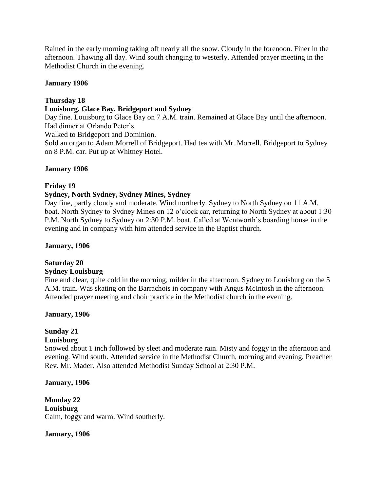Rained in the early morning taking off nearly all the snow. Cloudy in the forenoon. Finer in the afternoon. Thawing all day. Wind south changing to westerly. Attended prayer meeting in the Methodist Church in the evening.

#### **January 1906**

#### **Thursday 18**

#### **Louisburg, Glace Bay, Bridgeport and Sydney**

Day fine. Louisburg to Glace Bay on 7 A.M. train. Remained at Glace Bay until the afternoon. Had dinner at Orlando Peter's.

Walked to Bridgeport and Dominion.

Sold an organ to Adam Morrell of Bridgeport. Had tea with Mr. Morrell. Bridgeport to Sydney on 8 P.M. car. Put up at Whitney Hotel.

#### **January 1906**

#### **Friday 19**

#### **Sydney, North Sydney, Sydney Mines, Sydney**

Day fine, partly cloudy and moderate. Wind northerly. Sydney to North Sydney on 11 A.M. boat. North Sydney to Sydney Mines on 12 o'clock car, returning to North Sydney at about 1:30 P.M. North Sydney to Sydney on 2:30 P.M. boat. Called at Wentworth's boarding house in the evening and in company with him attended service in the Baptist church.

#### **January, 1906**

#### **Saturday 20 Sydney Louisburg**

Fine and clear, quite cold in the morning, milder in the afternoon. Sydney to Louisburg on the 5 A.M. train. Was skating on the Barrachois in company with Angus McIntosh in the afternoon. Attended prayer meeting and choir practice in the Methodist church in the evening.

#### **January, 1906**

# **Sunday 21**

#### **Louisburg**

Snowed about 1 inch followed by sleet and moderate rain. Misty and foggy in the afternoon and evening. Wind south. Attended service in the Methodist Church, morning and evening. Preacher Rev. Mr. Mader. Also attended Methodist Sunday School at 2:30 P.M.

**January, 1906**

**Monday 22 Louisburg** Calm, foggy and warm. Wind southerly.

**January, 1906**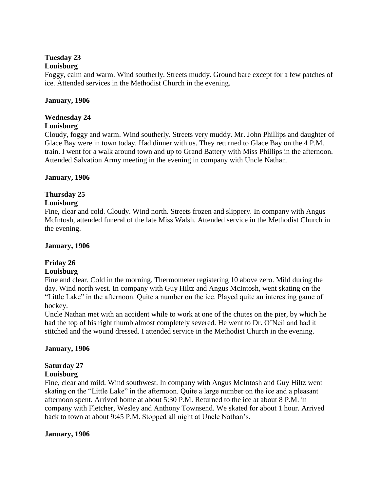## **Tuesday 23**

### **Louisburg**

Foggy, calm and warm. Wind southerly. Streets muddy. Ground bare except for a few patches of ice. Attended services in the Methodist Church in the evening.

### **January, 1906**

# **Wednesday 24**

### **Louisburg**

Cloudy, foggy and warm. Wind southerly. Streets very muddy. Mr. John Phillips and daughter of Glace Bay were in town today. Had dinner with us. They returned to Glace Bay on the 4 P.M. train. I went for a walk around town and up to Grand Battery with Miss Phillips in the afternoon. Attended Salvation Army meeting in the evening in company with Uncle Nathan.

### **January, 1906**

# **Thursday 25**

### **Louisburg**

Fine, clear and cold. Cloudy. Wind north. Streets frozen and slippery. In company with Angus McIntosh, attended funeral of the late Miss Walsh. Attended service in the Methodist Church in the evening.

#### **January, 1906**

# **Friday 26**

# **Louisburg**

Fine and clear. Cold in the morning. Thermometer registering 10 above zero. Mild during the day. Wind north west. In company with Guy Hiltz and Angus McIntosh, went skating on the "Little Lake" in the afternoon. Quite a number on the ice. Played quite an interesting game of hockey.

Uncle Nathan met with an accident while to work at one of the chutes on the pier, by which he had the top of his right thumb almost completely severed. He went to Dr. O'Neil and had it stitched and the wound dressed. I attended service in the Methodist Church in the evening.

### **January, 1906**

### **Saturday 27**

### **Louisburg**

Fine, clear and mild. Wind southwest. In company with Angus McIntosh and Guy Hiltz went skating on the "Little Lake" in the afternoon. Quite a large number on the ice and a pleasant afternoon spent. Arrived home at about 5:30 P.M. Returned to the ice at about 8 P.M. in company with Fletcher, Wesley and Anthony Townsend. We skated for about 1 hour. Arrived back to town at about 9:45 P.M. Stopped all night at Uncle Nathan's.

### **January, 1906**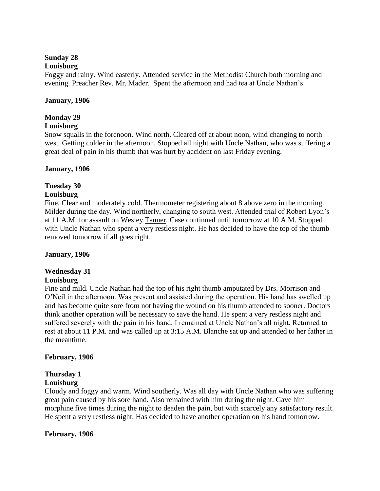### **Sunday 28**

#### **Louisburg**

Foggy and rainy. Wind easterly. Attended service in the Methodist Church both morning and evening. Preacher Rev. Mr. Mader. Spent the afternoon and had tea at Uncle Nathan's.

#### **January, 1906**

### **Monday 29**

#### **Louisburg**

Snow squalls in the forenoon. Wind north. Cleared off at about noon, wind changing to north west. Getting colder in the afternoon. Stopped all night with Uncle Nathan, who was suffering a great deal of pain in his thumb that was hurt by accident on last Friday evening.

#### **January, 1906**

### **Tuesday 30**

#### **Louisburg**

Fine, Clear and moderately cold. Thermometer registering about 8 above zero in the morning. Milder during the day. Wind northerly, changing to south west. Attended trial of Robert Lyon's at 11 A.M. for assault on Wesley Tanner. Case continued until tomorrow at 10 A.M. Stopped with Uncle Nathan who spent a very restless night. He has decided to have the top of the thumb removed tomorrow if all goes right.

#### **January, 1906**

# **Wednesday 31**

### **Louisburg**

Fine and mild. Uncle Nathan had the top of his right thumb amputated by Drs. Morrison and O'Neil in the afternoon. Was present and assisted during the operation. His hand has swelled up and has become quite sore from not having the wound on his thumb attended to sooner. Doctors think another operation will be necessary to save the hand. He spent a very restless night and suffered severely with the pain in his hand. I remained at Uncle Nathan's all night. Returned to rest at about 11 P.M. and was called up at 3:15 A.M. Blanche sat up and attended to her father in the meantime.

### **February, 1906**

#### **Thursday 1 Louisburg**

Cloudy and foggy and warm. Wind southerly. Was all day with Uncle Nathan who was suffering great pain caused by his sore hand. Also remained with him during the night. Gave him morphine five times during the night to deaden the pain, but with scarcely any satisfactory result. He spent a very restless night. Has decided to have another operation on his hand tomorrow.

### **February, 1906**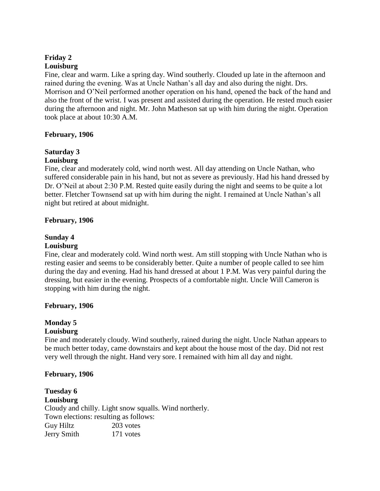#### **Friday 2 Louisburg**

Fine, clear and warm. Like a spring day. Wind southerly. Clouded up late in the afternoon and rained during the evening. Was at Uncle Nathan's all day and also during the night. Drs. Morrison and O'Neil performed another operation on his hand, opened the back of the hand and also the front of the wrist. I was present and assisted during the operation. He rested much easier during the afternoon and night. Mr. John Matheson sat up with him during the night. Operation took place at about 10:30 A.M.

#### **February, 1906**

# **Saturday 3**

# **Louisburg**

Fine, clear and moderately cold, wind north west. All day attending on Uncle Nathan, who suffered considerable pain in his hand, but not as severe as previously. Had his hand dressed by Dr. O'Neil at about 2:30 P.M. Rested quite easily during the night and seems to be quite a lot better. Fletcher Townsend sat up with him during the night. I remained at Uncle Nathan's all night but retired at about midnight.

#### **February, 1906**

#### **Sunday 4**

#### **Louisburg**

Fine, clear and moderately cold. Wind north west. Am still stopping with Uncle Nathan who is resting easier and seems to be considerably better. Quite a number of people called to see him during the day and evening. Had his hand dressed at about 1 P.M. Was very painful during the dressing, but easier in the evening. Prospects of a comfortable night. Uncle Will Cameron is stopping with him during the night.

### **February, 1906**

# **Monday 5**

# **Louisburg**

Fine and moderately cloudy. Wind southerly, rained during the night. Uncle Nathan appears to be much better today, came downstairs and kept about the house most of the day. Did not rest very well through the night. Hand very sore. I remained with him all day and night.

#### **February, 1906**

### **Tuesday 6 Louisburg** Cloudy and chilly. Light snow squalls. Wind northerly. Town elections: resulting as follows: Guy Hiltz 203 votes Jerry Smith 171 votes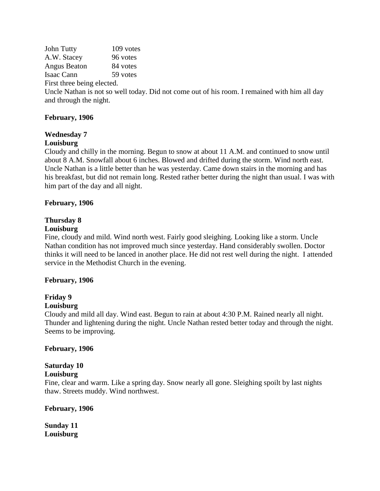John Tutty 109 votes A.W. Stacey 96 votes Angus Beaton 84 votes Isaac Cann 59 votes First three being elected.

Uncle Nathan is not so well today. Did not come out of his room. I remained with him all day and through the night.

### **February, 1906**

# **Wednesday 7**

### **Louisburg**

Cloudy and chilly in the morning. Begun to snow at about 11 A.M. and continued to snow until about 8 A.M. Snowfall about 6 inches. Blowed and drifted during the storm. Wind north east. Uncle Nathan is a little better than he was yesterday. Came down stairs in the morning and has his breakfast, but did not remain long. Rested rather better during the night than usual. I was with him part of the day and all night.

### **February, 1906**

# **Thursday 8**

### **Louisburg**

Fine, cloudy and mild. Wind north west. Fairly good sleighing. Looking like a storm. Uncle Nathan condition has not improved much since yesterday. Hand considerably swollen. Doctor thinks it will need to be lanced in another place. He did not rest well during the night. I attended service in the Methodist Church in the evening.

### **February, 1906**

# **Friday 9**

### **Louisburg**

Cloudy and mild all day. Wind east. Begun to rain at about 4:30 P.M. Rained nearly all night. Thunder and lightening during the night. Uncle Nathan rested better today and through the night. Seems to be improving.

### **February, 1906**

# **Saturday 10**

# **Louisburg**

Fine, clear and warm. Like a spring day. Snow nearly all gone. Sleighing spoilt by last nights thaw. Streets muddy. Wind northwest.

### **February, 1906**

**Sunday 11 Louisburg**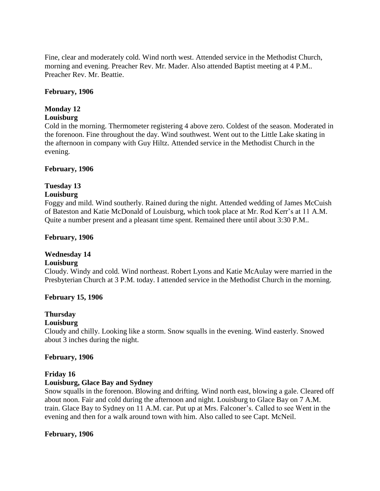Fine, clear and moderately cold. Wind north west. Attended service in the Methodist Church, morning and evening. Preacher Rev. Mr. Mader. Also attended Baptist meeting at 4 P.M.. Preacher Rev. Mr. Beattie.

#### **February, 1906**

## **Monday 12**

#### **Louisburg**

Cold in the morning. Thermometer registering 4 above zero. Coldest of the season. Moderated in the forenoon. Fine throughout the day. Wind southwest. Went out to the Little Lake skating in the afternoon in company with Guy Hiltz. Attended service in the Methodist Church in the evening.

#### **February, 1906**

### **Tuesday 13**

#### **Louisburg**

Foggy and mild. Wind southerly. Rained during the night. Attended wedding of James McCuish of Bateston and Katie McDonald of Louisburg, which took place at Mr. Rod Kerr's at 11 A.M. Quite a number present and a pleasant time spent. Remained there until about 3:30 P.M..

#### **February, 1906**

### **Wednesday 14**

#### **Louisburg**

Cloudy. Windy and cold. Wind northeast. Robert Lyons and Katie McAulay were married in the Presbyterian Church at 3 P.M. today. I attended service in the Methodist Church in the morning.

#### **February 15, 1906**

### **Thursday**

#### **Louisburg**

Cloudy and chilly. Looking like a storm. Snow squalls in the evening. Wind easterly. Snowed about 3 inches during the night.

#### **February, 1906**

#### **Friday 16**

#### **Louisburg, Glace Bay and Sydney**

Snow squalls in the forenoon. Blowing and drifting. Wind north east, blowing a gale. Cleared off about noon. Fair and cold during the afternoon and night. Louisburg to Glace Bay on 7 A.M. train. Glace Bay to Sydney on 11 A.M. car. Put up at Mrs. Falconer's. Called to see Went in the evening and then for a walk around town with him. Also called to see Capt. McNeil.

#### **February, 1906**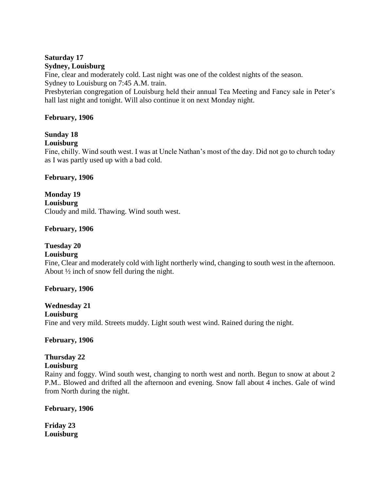# **Saturday 17**

#### **Sydney, Louisburg**

Fine, clear and moderately cold. Last night was one of the coldest nights of the season. Sydney to Louisburg on 7:45 A.M. train.

Presbyterian congregation of Louisburg held their annual Tea Meeting and Fancy sale in Peter's hall last night and tonight. Will also continue it on next Monday night.

### **February, 1906**

# **Sunday 18**

### **Louisburg**

Fine, chilly. Wind south west. I was at Uncle Nathan's most of the day. Did not go to church today as I was partly used up with a bad cold.

### **February, 1906**

**Monday 19 Louisburg** Cloudy and mild. Thawing. Wind south west.

### **February, 1906**

# **Tuesday 20**

### **Louisburg**

Fine, Clear and moderately cold with light northerly wind, changing to south west in the afternoon. About ½ inch of snow fell during the night.

### **February, 1906**

#### **Wednesday 21 Louisburg**

Fine and very mild. Streets muddy. Light south west wind. Rained during the night.

**February, 1906**

### **Thursday 22**

### **Louisburg**

Rainy and foggy. Wind south west, changing to north west and north. Begun to snow at about 2 P.M.. Blowed and drifted all the afternoon and evening. Snow fall about 4 inches. Gale of wind from North during the night.

### **February, 1906**

**Friday 23 Louisburg**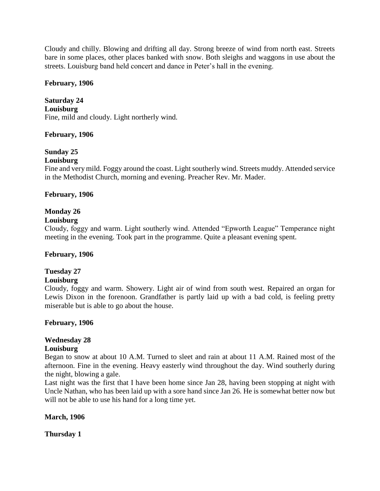Cloudy and chilly. Blowing and drifting all day. Strong breeze of wind from north east. Streets bare in some places, other places banked with snow. Both sleighs and waggons in use about the streets. Louisburg band held concert and dance in Peter's hall in the evening.

#### **February, 1906**

**Saturday 24 Louisburg** Fine, mild and cloudy. Light northerly wind.

#### **February, 1906**

# **Sunday 25**

#### **Louisburg**

Fine and very mild. Foggy around the coast. Light southerly wind. Streets muddy. Attended service in the Methodist Church, morning and evening. Preacher Rev. Mr. Mader.

#### **February, 1906**

### **Monday 26**

#### **Louisburg**

Cloudy, foggy and warm. Light southerly wind. Attended "Epworth League" Temperance night meeting in the evening. Took part in the programme. Quite a pleasant evening spent.

#### **February, 1906**

# **Tuesday 27**

#### **Louisburg**

Cloudy, foggy and warm. Showery. Light air of wind from south west. Repaired an organ for Lewis Dixon in the forenoon. Grandfather is partly laid up with a bad cold, is feeling pretty miserable but is able to go about the house.

#### **February, 1906**

# **Wednesday 28**

#### **Louisburg**

Began to snow at about 10 A.M. Turned to sleet and rain at about 11 A.M. Rained most of the afternoon. Fine in the evening. Heavy easterly wind throughout the day. Wind southerly during the night, blowing a gale.

Last night was the first that I have been home since Jan 28, having been stopping at night with Uncle Nathan, who has been laid up with a sore hand since Jan 26. He is somewhat better now but will not be able to use his hand for a long time yet.

#### **March, 1906**

**Thursday 1**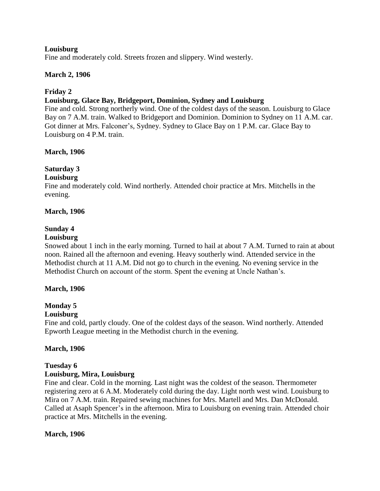#### **Louisburg**

Fine and moderately cold. Streets frozen and slippery. Wind westerly.

#### **March 2, 1906**

### **Friday 2**

#### **Louisburg, Glace Bay, Bridgeport, Dominion, Sydney and Louisburg**

Fine and cold. Strong northerly wind. One of the coldest days of the season. Louisburg to Glace Bay on 7 A.M. train. Walked to Bridgeport and Dominion. Dominion to Sydney on 11 A.M. car. Got dinner at Mrs. Falconer's, Sydney. Sydney to Glace Bay on 1 P.M. car. Glace Bay to Louisburg on 4 P.M. train.

#### **March, 1906**

# **Saturday 3**

#### **Louisburg**

Fine and moderately cold. Wind northerly. Attended choir practice at Mrs. Mitchells in the evening.

#### **March, 1906**

### **Sunday 4**

#### **Louisburg**

Snowed about 1 inch in the early morning. Turned to hail at about 7 A.M. Turned to rain at about noon. Rained all the afternoon and evening. Heavy southerly wind. Attended service in the Methodist church at 11 A.M. Did not go to church in the evening. No evening service in the Methodist Church on account of the storm. Spent the evening at Uncle Nathan's.

#### **March, 1906**

### **Monday 5**

#### **Louisburg**

Fine and cold, partly cloudy. One of the coldest days of the season. Wind northerly. Attended Epworth League meeting in the Methodist church in the evening.

#### **March, 1906**

### **Tuesday 6**

#### **Louisburg, Mira, Louisburg**

Fine and clear. Cold in the morning. Last night was the coldest of the season. Thermometer registering zero at 6 A.M. Moderately cold during the day. Light north west wind. Louisburg to Mira on 7 A.M. train. Repaired sewing machines for Mrs. Martell and Mrs. Dan McDonald. Called at Asaph Spencer's in the afternoon. Mira to Louisburg on evening train. Attended choir practice at Mrs. Mitchells in the evening.

#### **March, 1906**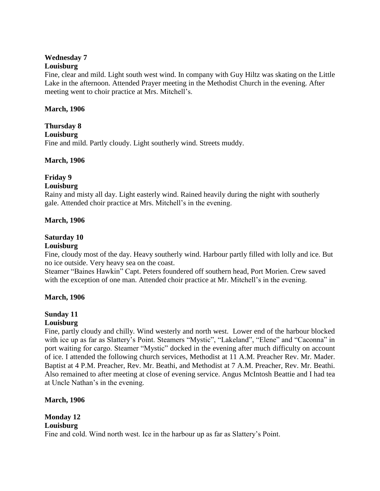### **Wednesday 7**

### **Louisburg**

Fine, clear and mild. Light south west wind. In company with Guy Hiltz was skating on the Little Lake in the afternoon. Attended Prayer meeting in the Methodist Church in the evening. After meeting went to choir practice at Mrs. Mitchell's.

### **March, 1906**

# **Thursday 8 Louisburg** Fine and mild. Partly cloudy. Light southerly wind. Streets muddy.

# **March, 1906**

# **Friday 9**

### **Louisburg**

Rainy and misty all day. Light easterly wind. Rained heavily during the night with southerly gale. Attended choir practice at Mrs. Mitchell's in the evening.

### **March, 1906**

# **Saturday 10**

### **Louisburg**

Fine, cloudy most of the day. Heavy southerly wind. Harbour partly filled with lolly and ice. But no ice outside. Very heavy sea on the coast.

Steamer "Baines Hawkin" Capt. Peters foundered off southern head, Port Morien. Crew saved with the exception of one man. Attended choir practice at Mr. Mitchell's in the evening.

### **March, 1906**

# **Sunday 11**

# **Louisburg**

Fine, partly cloudy and chilly. Wind westerly and north west. Lower end of the harbour blocked with ice up as far as Slattery's Point. Steamers "Mystic", "Lakeland", "Elene" and "Caconna" in port waiting for cargo. Steamer "Mystic" docked in the evening after much difficulty on account of ice. I attended the following church services, Methodist at 11 A.M. Preacher Rev. Mr. Mader. Baptist at 4 P.M. Preacher, Rev. Mr. Beathi, and Methodist at 7 A.M. Preacher, Rev. Mr. Beathi. Also remained to after meeting at close of evening service. Angus McIntosh Beattie and I had tea at Uncle Nathan's in the evening.

# **March, 1906**

#### **Monday 12 Louisburg**

Fine and cold. Wind north west. Ice in the harbour up as far as Slattery's Point.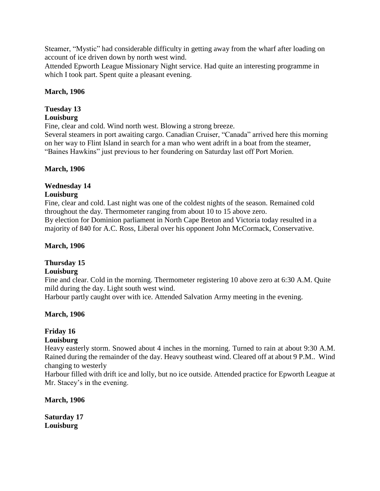Steamer, "Mystic" had considerable difficulty in getting away from the wharf after loading on account of ice driven down by north west wind.

Attended Epworth League Missionary Night service. Had quite an interesting programme in which I took part. Spent quite a pleasant evening.

### **March, 1906**

# **Tuesday 13**

# **Louisburg**

Fine, clear and cold. Wind north west. Blowing a strong breeze.

Several steamers in port awaiting cargo. Canadian Cruiser, "Canada" arrived here this morning on her way to Flint Island in search for a man who went adrift in a boat from the steamer, "Baines Hawkins" just previous to her foundering on Saturday last off Port Morien.

### **March, 1906**

# **Wednesday 14**

### **Louisburg**

Fine, clear and cold. Last night was one of the coldest nights of the season. Remained cold throughout the day. Thermometer ranging from about 10 to 15 above zero. By election for Dominion parliament in North Cape Breton and Victoria today resulted in a majority of 840 for A.C. Ross, Liberal over his opponent John McCormack, Conservative.

## **March, 1906**

# **Thursday 15**

### **Louisburg**

Fine and clear. Cold in the morning. Thermometer registering 10 above zero at 6:30 A.M. Quite mild during the day. Light south west wind.

Harbour partly caught over with ice. Attended Salvation Army meeting in the evening.

# **March, 1906**

# **Friday 16**

# **Louisburg**

Heavy easterly storm. Snowed about 4 inches in the morning. Turned to rain at about 9:30 A.M. Rained during the remainder of the day. Heavy southeast wind. Cleared off at about 9 P.M.. Wind changing to westerly

Harbour filled with drift ice and lolly, but no ice outside. Attended practice for Epworth League at Mr. Stacey's in the evening.

**March, 1906**

**Saturday 17 Louisburg**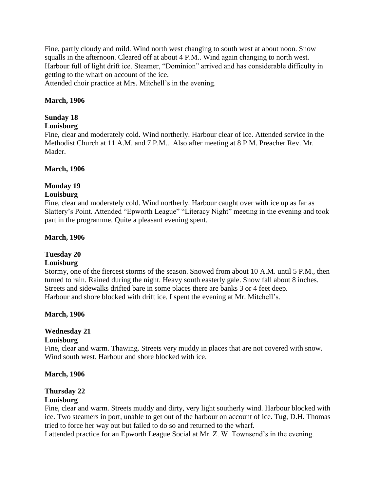Fine, partly cloudy and mild. Wind north west changing to south west at about noon. Snow squalls in the afternoon. Cleared off at about 4 P.M.. Wind again changing to north west. Harbour full of light drift ice. Steamer, "Dominion" arrived and has considerable difficulty in getting to the wharf on account of the ice.

Attended choir practice at Mrs. Mitchell's in the evening.

#### **March, 1906**

#### **Sunday 18**

#### **Louisburg**

Fine, clear and moderately cold. Wind northerly. Harbour clear of ice. Attended service in the Methodist Church at 11 A.M. and 7 P.M.. Also after meeting at 8 P.M. Preacher Rev. Mr. Mader.

#### **March, 1906**

### **Monday 19**

#### **Louisburg**

Fine, clear and moderately cold. Wind northerly. Harbour caught over with ice up as far as Slattery's Point. Attended "Epworth League" "Literacy Night" meeting in the evening and took part in the programme. Quite a pleasant evening spent.

#### **March, 1906**

#### **Tuesday 20**

#### **Louisburg**

Stormy, one of the fiercest storms of the season. Snowed from about 10 A.M. until 5 P.M., then turned to rain. Rained during the night. Heavy south easterly gale. Snow fall about 8 inches. Streets and sidewalks drifted bare in some places there are banks 3 or 4 feet deep. Harbour and shore blocked with drift ice. I spent the evening at Mr. Mitchell's.

#### **March, 1906**

# **Wednesday 21**

#### **Louisburg**

Fine, clear and warm. Thawing. Streets very muddy in places that are not covered with snow. Wind south west. Harbour and shore blocked with ice.

#### **March, 1906**

### **Thursday 22**

#### **Louisburg**

Fine, clear and warm. Streets muddy and dirty, very light southerly wind. Harbour blocked with ice. Two steamers in port, unable to get out of the harbour on account of ice. Tug, D.H. Thomas tried to force her way out but failed to do so and returned to the wharf.

I attended practice for an Epworth League Social at Mr. Z. W. Townsend's in the evening.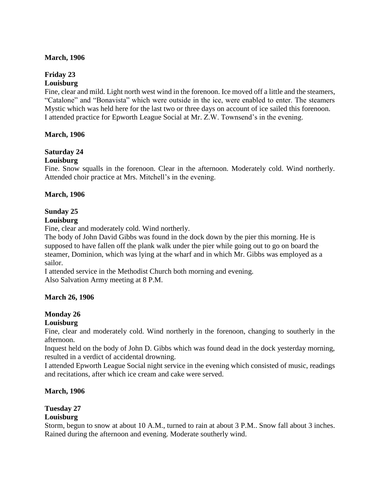#### **March, 1906**

#### **Friday 23 Louisburg**

Fine, clear and mild. Light north west wind in the forenoon. Ice moved off a little and the steamers, "Catalone" and "Bonavista" which were outside in the ice, were enabled to enter. The steamers Mystic which was held here for the last two or three days on account of ice sailed this forenoon. I attended practice for Epworth League Social at Mr. Z.W. Townsend's in the evening.

#### **March, 1906**

### **Saturday 24**

#### **Louisburg**

Fine. Snow squalls in the forenoon. Clear in the afternoon. Moderately cold. Wind northerly. Attended choir practice at Mrs. Mitchell's in the evening.

#### **March, 1906**

#### **Sunday 25**

#### **Louisburg**

Fine, clear and moderately cold. Wind northerly.

The body of John David Gibbs was found in the dock down by the pier this morning. He is supposed to have fallen off the plank walk under the pier while going out to go on board the steamer, Dominion, which was lying at the wharf and in which Mr. Gibbs was employed as a sailor.

I attended service in the Methodist Church both morning and evening. Also Salvation Army meeting at 8 P.M.

#### **March 26, 1906**

#### **Monday 26**

#### **Louisburg**

Fine, clear and moderately cold. Wind northerly in the forenoon, changing to southerly in the afternoon.

Inquest held on the body of John D. Gibbs which was found dead in the dock yesterday morning, resulted in a verdict of accidental drowning.

I attended Epworth League Social night service in the evening which consisted of music, readings and recitations, after which ice cream and cake were served.

#### **March, 1906**

#### **Tuesday 27**

#### **Louisburg**

Storm, begun to snow at about 10 A.M., turned to rain at about 3 P.M.. Snow fall about 3 inches. Rained during the afternoon and evening. Moderate southerly wind.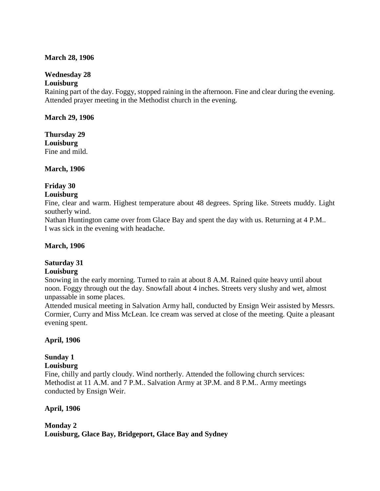#### **March 28, 1906**

### **Wednesday 28**

#### **Louisburg**

Raining part of the day. Foggy, stopped raining in the afternoon. Fine and clear during the evening. Attended prayer meeting in the Methodist church in the evening.

#### **March 29, 1906**

**Thursday 29 Louisburg** Fine and mild.

**March, 1906**

# **Friday 30**

#### **Louisburg**

Fine, clear and warm. Highest temperature about 48 degrees. Spring like. Streets muddy. Light southerly wind.

Nathan Huntington came over from Glace Bay and spent the day with us. Returning at 4 P.M.. I was sick in the evening with headache.

### **March, 1906**

### **Saturday 31**

#### **Louisburg**

Snowing in the early morning. Turned to rain at about 8 A.M. Rained quite heavy until about noon. Foggy through out the day. Snowfall about 4 inches. Streets very slushy and wet, almost unpassable in some places.

Attended musical meeting in Salvation Army hall, conducted by Ensign Weir assisted by Messrs. Cormier, Curry and Miss McLean. Ice cream was served at close of the meeting. Quite a pleasant evening spent.

### **April, 1906**

### **Sunday 1**

### **Louisburg**

Fine, chilly and partly cloudy. Wind northerly. Attended the following church services: Methodist at 11 A.M. and 7 P.M.. Salvation Army at 3P.M. and 8 P.M.. Army meetings conducted by Ensign Weir.

### **April, 1906**

# **Monday 2 Louisburg, Glace Bay, Bridgeport, Glace Bay and Sydney**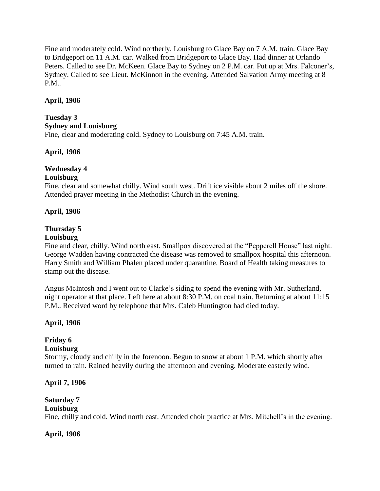Fine and moderately cold. Wind northerly. Louisburg to Glace Bay on 7 A.M. train. Glace Bay to Bridgeport on 11 A.M. car. Walked from Bridgeport to Glace Bay. Had dinner at Orlando Peters. Called to see Dr. McKeen. Glace Bay to Sydney on 2 P.M. car. Put up at Mrs. Falconer's, Sydney. Called to see Lieut. McKinnon in the evening. Attended Salvation Army meeting at 8 P.M..

#### **April, 1906**

#### **Tuesday 3 Sydney and Louisburg**

Fine, clear and moderating cold. Sydney to Louisburg on 7:45 A.M. train.

#### **April, 1906**

### **Wednesday 4**

#### **Louisburg**

Fine, clear and somewhat chilly. Wind south west. Drift ice visible about 2 miles off the shore. Attended prayer meeting in the Methodist Church in the evening.

#### **April, 1906**

### **Thursday 5**

#### **Louisburg**

Fine and clear, chilly. Wind north east. Smallpox discovered at the "Pepperell House" last night. George Wadden having contracted the disease was removed to smallpox hospital this afternoon. Harry Smith and William Phalen placed under quarantine. Board of Health taking measures to stamp out the disease.

Angus McIntosh and I went out to Clarke's siding to spend the evening with Mr. Sutherland, night operator at that place. Left here at about 8:30 P.M. on coal train. Returning at about 11:15 P.M.. Received word by telephone that Mrs. Caleb Huntington had died today.

### **April, 1906**

# **Friday 6**

#### **Louisburg**

Stormy, cloudy and chilly in the forenoon. Begun to snow at about 1 P.M. which shortly after turned to rain. Rained heavily during the afternoon and evening. Moderate easterly wind.

#### **April 7, 1906**

# **Saturday 7**

#### **Louisburg**

Fine, chilly and cold. Wind north east. Attended choir practice at Mrs. Mitchell's in the evening.

**April, 1906**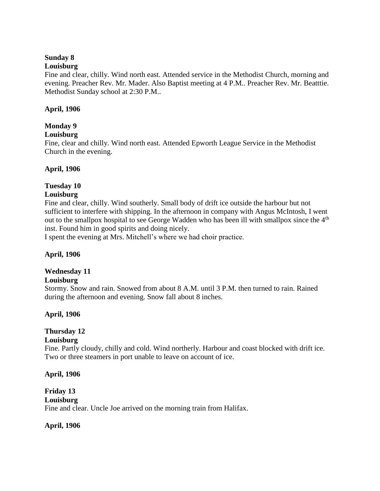#### **Sunday 8**

#### **Louisburg**

Fine and clear, chilly. Wind north east. Attended service in the Methodist Church, morning and evening. Preacher Rev. Mr. Mader. Also Baptist meeting at 4 P.M.. Preacher Rev. Mr. Beatttie. Methodist Sunday school at 2:30 P.M..

#### **April, 1906**

### **Monday 9**

#### **Louisburg**

Fine, clear and chilly. Wind north east. Attended Epworth League Service in the Methodist Church in the evening.

#### **April, 1906**

### **Tuesday 10**

#### **Louisburg**

Fine and clear, chilly. Wind southerly. Small body of drift ice outside the harbour but not sufficient to interfere with shipping. In the afternoon in company with Angus McIntosh, I went out to the smallpox hospital to see George Wadden who has been ill with smallpox since the 4<sup>th</sup> inst. Found him in good spirits and doing nicely.

I spent the evening at Mrs. Mitchell's where we had choir practice.

### **April, 1906**

# **Wednesday 11**

### **Louisburg**

Stormy. Snow and rain. Snowed from about 8 A.M. until 3 P.M. then turned to rain. Rained during the afternoon and evening. Snow fall about 8 inches.

### **April, 1906**

# **Thursday 12**

#### **Louisburg**

Fine. Partly cloudy, chilly and cold. Wind northerly. Harbour and coast blocked with drift ice. Two or three steamers in port unable to leave on account of ice.

#### **April, 1906**

**Friday 13 Louisburg** Fine and clear. Uncle Joe arrived on the morning train from Halifax.

### **April, 1906**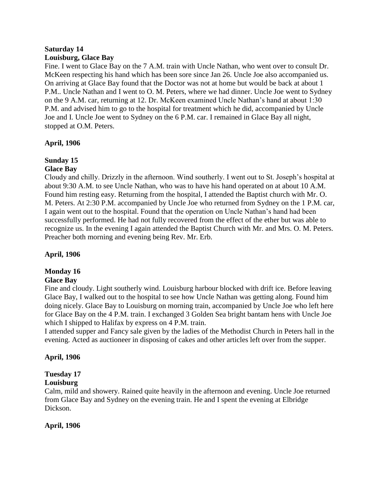#### **Saturday 14 Louisburg, Glace Bay**

Fine. I went to Glace Bay on the 7 A.M. train with Uncle Nathan, who went over to consult Dr. McKeen respecting his hand which has been sore since Jan 26. Uncle Joe also accompanied us. On arriving at Glace Bay found that the Doctor was not at home but would be back at about 1 P.M.. Uncle Nathan and I went to O. M. Peters, where we had dinner. Uncle Joe went to Sydney on the 9 A.M. car, returning at 12. Dr. McKeen examined Uncle Nathan's hand at about 1:30 P.M. and advised him to go to the hospital for treatment which he did, accompanied by Uncle Joe and I. Uncle Joe went to Sydney on the 6 P.M. car. I remained in Glace Bay all night, stopped at O.M. Peters.

# **April, 1906**

# **Sunday 15**

### **Glace Bay**

Cloudy and chilly. Drizzly in the afternoon. Wind southerly. I went out to St. Joseph's hospital at about 9:30 A.M. to see Uncle Nathan, who was to have his hand operated on at about 10 A.M. Found him resting easy. Returning from the hospital, I attended the Baptist church with Mr. O. M. Peters. At 2:30 P.M. accompanied by Uncle Joe who returned from Sydney on the 1 P.M. car, I again went out to the hospital. Found that the operation on Uncle Nathan's hand had been successfully performed. He had not fully recovered from the effect of the ether but was able to recognize us. In the evening I again attended the Baptist Church with Mr. and Mrs. O. M. Peters. Preacher both morning and evening being Rev. Mr. Erb.

### **April, 1906**

# **Monday 16**

### **Glace Bay**

Fine and cloudy. Light southerly wind. Louisburg harbour blocked with drift ice. Before leaving Glace Bay, I walked out to the hospital to see how Uncle Nathan was getting along. Found him doing nicely. Glace Bay to Louisburg on morning train, accompanied by Uncle Joe who left here for Glace Bay on the 4 P.M. train. I exchanged 3 Golden Sea bright bantam hens with Uncle Joe which I shipped to Halifax by express on 4 P.M. train.

I attended supper and Fancy sale given by the ladies of the Methodist Church in Peters hall in the evening. Acted as auctioneer in disposing of cakes and other articles left over from the supper.

### **April, 1906**

# **Tuesday 17**

# **Louisburg**

Calm, mild and showery. Rained quite heavily in the afternoon and evening. Uncle Joe returned from Glace Bay and Sydney on the evening train. He and I spent the evening at Elbridge Dickson.

### **April, 1906**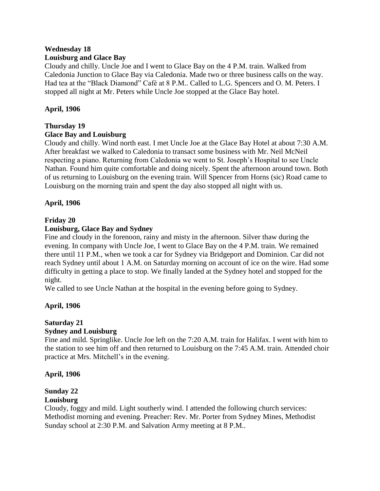### **Wednesday 18 Louisburg and Glace Bay**

Cloudy and chilly. Uncle Joe and I went to Glace Bay on the 4 P.M. train. Walked from Caledonia Junction to Glace Bay via Caledonia. Made two or three business calls on the way. Had tea at the "Black Diamond" Café at 8 P.M.. Called to L.G. Spencers and O. M. Peters. I stopped all night at Mr. Peters while Uncle Joe stopped at the Glace Bay hotel.

## **April, 1906**

### **Thursday 19**

### **Glace Bay and Louisburg**

Cloudy and chilly. Wind north east. I met Uncle Joe at the Glace Bay Hotel at about 7:30 A.M. After breakfast we walked to Caledonia to transact some business with Mr. Neil McNeil respecting a piano. Returning from Caledonia we went to St. Joseph's Hospital to see Uncle Nathan. Found him quite comfortable and doing nicely. Spent the afternoon around town. Both of us returning to Louisburg on the evening train. Will Spencer from Horns (sic) Road came to Louisburg on the morning train and spent the day also stopped all night with us.

### **April, 1906**

### **Friday 20**

### **Louisburg, Glace Bay and Sydney**

Fine and cloudy in the forenoon, rainy and misty in the afternoon. Silver thaw during the evening. In company with Uncle Joe, I went to Glace Bay on the 4 P.M. train. We remained there until 11 P.M., when we took a car for Sydney via Bridgeport and Dominion. Car did not reach Sydney until about 1 A.M. on Saturday morning on account of ice on the wire. Had some difficulty in getting a place to stop. We finally landed at the Sydney hotel and stopped for the night.

We called to see Uncle Nathan at the hospital in the evening before going to Sydney.

# **April, 1906**

#### **Saturday 21 Sydney and Louisburg**

# Fine and mild. Springlike. Uncle Joe left on the 7:20 A.M. train for Halifax. I went with him to the station to see him off and then returned to Louisburg on the 7:45 A.M. train. Attended choir practice at Mrs. Mitchell's in the evening.

### **April, 1906**

# **Sunday 22**

### **Louisburg**

Cloudy, foggy and mild. Light southerly wind. I attended the following church services: Methodist morning and evening. Preacher: Rev. Mr. Porter from Sydney Mines, Methodist Sunday school at 2:30 P.M. and Salvation Army meeting at 8 P.M..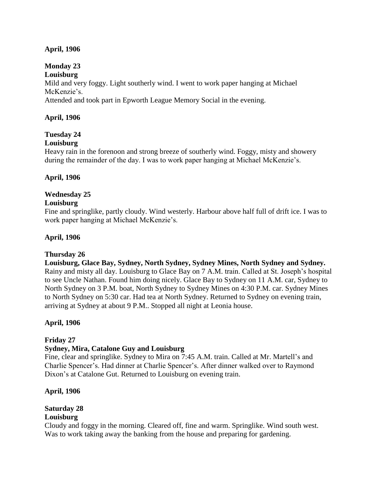### **April, 1906**

# **Monday 23**

### **Louisburg**

Mild and very foggy. Light southerly wind. I went to work paper hanging at Michael McKenzie's.

Attended and took part in Epworth League Memory Social in the evening.

### **April, 1906**

# **Tuesday 24**

### **Louisburg**

Heavy rain in the forenoon and strong breeze of southerly wind. Foggy, misty and showery during the remainder of the day. I was to work paper hanging at Michael McKenzie's.

### **April, 1906**

### **Wednesday 25**

#### **Louisburg**

Fine and springlike, partly cloudy. Wind westerly. Harbour above half full of drift ice. I was to work paper hanging at Michael McKenzie's.

#### **April, 1906**

### **Thursday 26**

**Louisburg, Glace Bay, Sydney, North Sydney, Sydney Mines, North Sydney and Sydney.** Rainy and misty all day. Louisburg to Glace Bay on 7 A.M. train. Called at St. Joseph's hospital to see Uncle Nathan. Found him doing nicely. Glace Bay to Sydney on 11 A.M. car, Sydney to North Sydney on 3 P.M. boat, North Sydney to Sydney Mines on 4:30 P.M. car. Sydney Mines to North Sydney on 5:30 car. Had tea at North Sydney. Returned to Sydney on evening train, arriving at Sydney at about 9 P.M.. Stopped all night at Leonia house.

### **April, 1906**

### **Friday 27**

### **Sydney, Mira, Catalone Guy and Louisburg**

Fine, clear and springlike. Sydney to Mira on 7:45 A.M. train. Called at Mr. Martell's and Charlie Spencer's. Had dinner at Charlie Spencer's. After dinner walked over to Raymond Dixon's at Catalone Gut. Returned to Louisburg on evening train.

### **April, 1906**

### **Saturday 28**

### **Louisburg**

Cloudy and foggy in the morning. Cleared off, fine and warm. Springlike. Wind south west. Was to work taking away the banking from the house and preparing for gardening.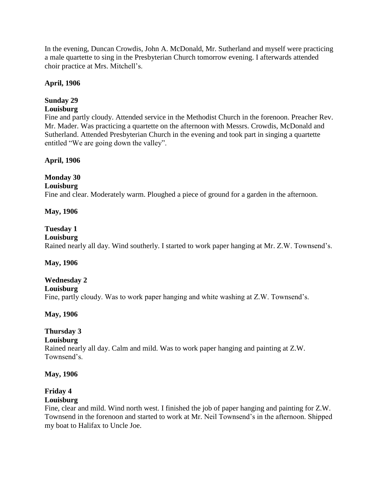In the evening, Duncan Crowdis, John A. McDonald, Mr. Sutherland and myself were practicing a male quartette to sing in the Presbyterian Church tomorrow evening. I afterwards attended choir practice at Mrs. Mitchell's.

#### **April, 1906**

### **Sunday 29**

#### **Louisburg**

Fine and partly cloudy. Attended service in the Methodist Church in the forenoon. Preacher Rev. Mr. Mader. Was practicing a quartette on the afternoon with Messrs. Crowdis, McDonald and Sutherland. Attended Presbyterian Church in the evening and took part in singing a quartette entitled "We are going down the valley".

#### **April, 1906**

### **Monday 30**

#### **Louisburg**

Fine and clear. Moderately warm. Ploughed a piece of ground for a garden in the afternoon.

#### **May, 1906**

### **Tuesday 1**

#### **Louisburg**

Rained nearly all day. Wind southerly. I started to work paper hanging at Mr. Z.W. Townsend's.

#### **May, 1906**

### **Wednesday 2**

#### **Louisburg**

Fine, partly cloudy. Was to work paper hanging and white washing at Z.W. Townsend's.

#### **May, 1906**

# **Thursday 3**

#### **Louisburg**

Rained nearly all day. Calm and mild. Was to work paper hanging and painting at Z.W. Townsend's.

#### **May, 1906**

# **Friday 4**

# **Louisburg**

Fine, clear and mild. Wind north west. I finished the job of paper hanging and painting for Z.W. Townsend in the forenoon and started to work at Mr. Neil Townsend's in the afternoon. Shipped my boat to Halifax to Uncle Joe.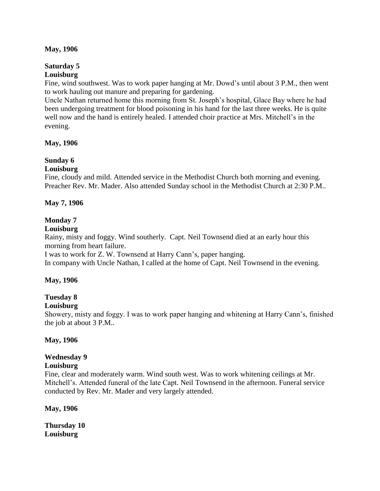#### **May, 1906**

#### **Saturday 5 Louisburg**

Fine, wind southwest. Was to work paper hanging at Mr. Dowd's until about 3 P.M., then went to work hauling out manure and preparing for gardening.

Uncle Nathan returned home this morning from St. Joseph's hospital, Glace Bay where he had been undergoing treatment for blood poisoning in his hand for the last three weeks. He is quite well now and the hand is entirely healed. I attended choir practice at Mrs. Mitchell's in the evening.

#### **May, 1906**

# **Sunday 6**

### **Louisburg**

Fine, cloudy and mild. Attended service in the Methodist Church both morning and evening. Preacher Rev. Mr. Mader. Also attended Sunday school in the Methodist Church at 2:30 P.M..

#### **May 7, 1906**

### **Monday 7**

#### **Louisburg**

Rainy, misty and foggy. Wind southerly. Capt. Neil Townsend died at an early hour this morning from heart failure.

I was to work for Z. W. Townsend at Harry Cann's, paper hanging.

In company with Uncle Nathan, I called at the home of Capt. Neil Townsend in the evening.

### **May, 1906**

# **Tuesday 8**

### **Louisburg**

Showery, misty and foggy. I was to work paper hanging and whitening at Harry Cann's, finished the job at about 3 P.M..

#### **May, 1906**

### **Wednesday 9**

#### **Louisburg**

Fine, clear and moderately warm. Wind south west. Was to work whitening ceilings at Mr. Mitchell's. Attended funeral of the late Capt. Neil Townsend in the afternoon. Funeral service conducted by Rev. Mr. Mader and very largely attended.

#### **May, 1906**

**Thursday 10 Louisburg**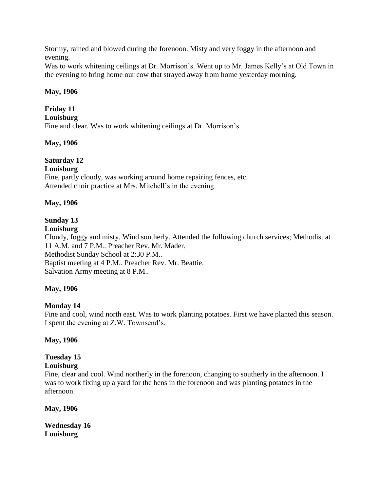Stormy, rained and blowed during the forenoon. Misty and very foggy in the afternoon and evening.

Was to work whitening ceilings at Dr. Morrison's. Went up to Mr. James Kelly's at Old Town in the evening to bring home our cow that strayed away from home yesterday morning.

### **May, 1906**

# **Friday 11**

**Louisburg**

Fine and clear. Was to work whitening ceilings at Dr. Morrison's.

### **May, 1906**

# **Saturday 12**

# **Louisburg**

Fine, partly cloudy, was working around home repairing fences, etc. Attended choir practice at Mrs. Mitchell's in the evening.

### **May, 1906**

# **Sunday 13**

### **Louisburg**

Cloudy, foggy and misty. Wind southerly. Attended the following church services; Methodist at 11 A.M. and 7 P.M.. Preacher Rev. Mr. Mader. Methodist Sunday School at 2:30 P.M.. Baptist meeting at 4 P.M.. Preacher Rev. Mr. Beattie. Salvation Army meeting at 8 P.M..

# **May, 1906**

# **Monday 14**

Fine and cool, wind north east. Was to work planting potatoes. First we have planted this season. I spent the evening at Z.W. Townsend's.

### **May, 1906**

# **Tuesday 15**

## **Louisburg**

Fine, clear and cool. Wind northerly in the forenoon, changing to southerly in the afternoon. I was to work fixing up a yard for the hens in the forenoon and was planting potatoes in the afternoon.

**May, 1906**

**Wednesday 16 Louisburg**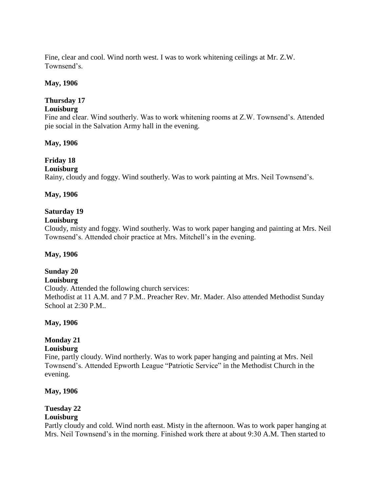Fine, clear and cool. Wind north west. I was to work whitening ceilings at Mr. Z.W. Townsend's.

#### **May, 1906**

#### **Thursday 17**

#### **Louisburg**

Fine and clear. Wind southerly. Was to work whitening rooms at Z.W. Townsend's. Attended pie social in the Salvation Army hall in the evening.

#### **May, 1906**

# **Friday 18**

#### **Louisburg**

Rainy, cloudy and foggy. Wind southerly. Was to work painting at Mrs. Neil Townsend's.

#### **May, 1906**

#### **Saturday 19**

#### **Louisburg**

Cloudy, misty and foggy. Wind southerly. Was to work paper hanging and painting at Mrs. Neil Townsend's. Attended choir practice at Mrs. Mitchell's in the evening.

#### **May, 1906**

### **Sunday 20**

#### **Louisburg**

Cloudy. Attended the following church services: Methodist at 11 A.M. and 7 P.M.. Preacher Rev. Mr. Mader. Also attended Methodist Sunday School at 2:30 P.M..

#### **May, 1906**

### **Monday 21**

#### **Louisburg**

Fine, partly cloudy. Wind northerly. Was to work paper hanging and painting at Mrs. Neil Townsend's. Attended Epworth League "Patriotic Service" in the Methodist Church in the evening.

#### **May, 1906**

### **Tuesday 22**

#### **Louisburg**

Partly cloudy and cold. Wind north east. Misty in the afternoon. Was to work paper hanging at Mrs. Neil Townsend's in the morning. Finished work there at about 9:30 A.M. Then started to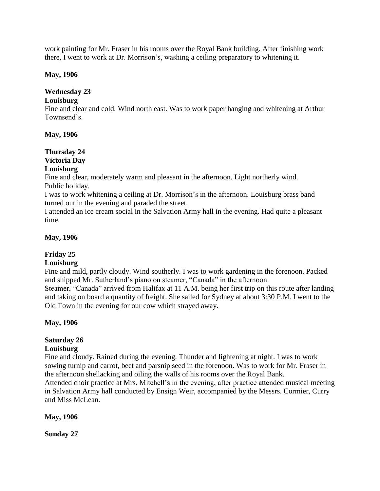work painting for Mr. Fraser in his rooms over the Royal Bank building. After finishing work there, I went to work at Dr. Morrison's, washing a ceiling preparatory to whitening it.

#### **May, 1906**

# **Wednesday 23**

### **Louisburg**

Fine and clear and cold. Wind north east. Was to work paper hanging and whitening at Arthur Townsend's.

**May, 1906**

#### **Thursday 24 Victoria Day Louisburg**

Fine and clear, moderately warm and pleasant in the afternoon. Light northerly wind. Public holiday.

I was to work whitening a ceiling at Dr. Morrison's in the afternoon. Louisburg brass band turned out in the evening and paraded the street.

I attended an ice cream social in the Salvation Army hall in the evening. Had quite a pleasant time.

### **May, 1906**

### **Friday 25**

### **Louisburg**

Fine and mild, partly cloudy. Wind southerly. I was to work gardening in the forenoon. Packed and shipped Mr. Sutherland's piano on steamer, "Canada" in the afternoon.

Steamer, "Canada" arrived from Halifax at 11 A.M. being her first trip on this route after landing and taking on board a quantity of freight. She sailed for Sydney at about 3:30 P.M. I went to the Old Town in the evening for our cow which strayed away.

### **May, 1906**

# **Saturday 26**

### **Louisburg**

Fine and cloudy. Rained during the evening. Thunder and lightening at night. I was to work sowing turnip and carrot, beet and parsnip seed in the forenoon. Was to work for Mr. Fraser in the afternoon shellacking and oiling the walls of his rooms over the Royal Bank. Attended choir practice at Mrs. Mitchell's in the evening, after practice attended musical meeting

in Salvation Army hall conducted by Ensign Weir, accompanied by the Messrs. Cormier, Curry and Miss McLean.

### **May, 1906**

**Sunday 27**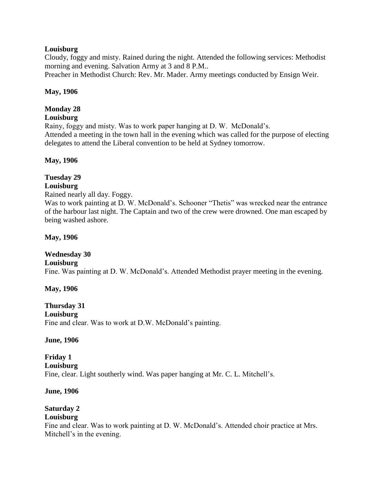#### **Louisburg**

Cloudy, foggy and misty. Rained during the night. Attended the following services: Methodist morning and evening. Salvation Army at 3 and 8 P.M..

Preacher in Methodist Church: Rev. Mr. Mader. Army meetings conducted by Ensign Weir.

#### **May, 1906**

### **Monday 28**

# **Louisburg**

Rainy, foggy and misty. Was to work paper hanging at D. W. McDonald's. Attended a meeting in the town hall in the evening which was called for the purpose of electing delegates to attend the Liberal convention to be held at Sydney tomorrow.

### **May, 1906**

#### **Tuesday 29 Louisburg**

Rained nearly all day. Foggy.

Was to work painting at D. W. McDonald's. Schooner "Thetis" was wrecked near the entrance of the harbour last night. The Captain and two of the crew were drowned. One man escaped by being washed ashore.

**May, 1906**

# **Wednesday 30**

### **Louisburg**

Fine. Was painting at D. W. McDonald's. Attended Methodist prayer meeting in the evening.

### **May, 1906**

#### **Thursday 31 Louisburg** Fine and clear. Was to work at D.W. McDonald's painting.

#### **June, 1906**

#### **Friday 1 Louisburg** Fine, clear. Light southerly wind. Was paper hanging at Mr. C. L. Mitchell's.

#### **June, 1906**

# **Saturday 2**

### **Louisburg**

Fine and clear. Was to work painting at D. W. McDonald's. Attended choir practice at Mrs. Mitchell's in the evening.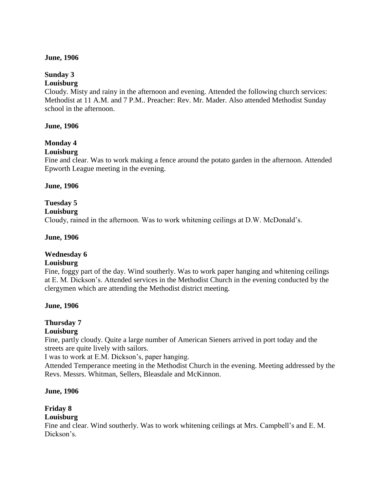#### **June, 1906**

# **Sunday 3**

#### **Louisburg**

Cloudy. Misty and rainy in the afternoon and evening. Attended the following church services: Methodist at 11 A.M. and 7 P.M.. Preacher: Rev. Mr. Mader. Also attended Methodist Sunday school in the afternoon.

#### **June, 1906**

# **Monday 4**

### **Louisburg**

Fine and clear. Was to work making a fence around the potato garden in the afternoon. Attended Epworth League meeting in the evening.

#### **June, 1906**

# **Tuesday 5**

#### **Louisburg**

Cloudy, rained in the afternoon. Was to work whitening ceilings at D.W. McDonald's.

#### **June, 1906**

### **Wednesday 6**

### **Louisburg**

Fine, foggy part of the day. Wind southerly. Was to work paper hanging and whitening ceilings at E. M. Dickson's. Attended services in the Methodist Church in the evening conducted by the clergymen which are attending the Methodist district meeting.

### **June, 1906**

# **Thursday 7**

# **Louisburg**

Fine, partly cloudy. Quite a large number of American Sieners arrived in port today and the streets are quite lively with sailors.

I was to work at E.M. Dickson's, paper hanging.

Attended Temperance meeting in the Methodist Church in the evening. Meeting addressed by the Revs. Messrs. Whitman, Sellers, Bleasdale and McKinnon.

### **June, 1906**

# **Friday 8**

### **Louisburg**

Fine and clear. Wind southerly. Was to work whitening ceilings at Mrs. Campbell's and E. M. Dickson's.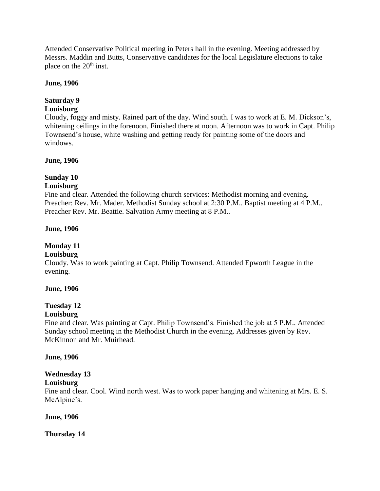Attended Conservative Political meeting in Peters hall in the evening. Meeting addressed by Messrs. Maddin and Butts, Conservative candidates for the local Legislature elections to take place on the  $20<sup>th</sup>$  inst.

#### **June, 1906**

### **Saturday 9**

### **Louisburg**

Cloudy, foggy and misty. Rained part of the day. Wind south. I was to work at E. M. Dickson's, whitening ceilings in the forenoon. Finished there at noon. Afternoon was to work in Capt. Philip Townsend's house, white washing and getting ready for painting some of the doors and windows.

#### **June, 1906**

# **Sunday 10**

#### **Louisburg**

Fine and clear. Attended the following church services: Methodist morning and evening. Preacher: Rev. Mr. Mader. Methodist Sunday school at 2:30 P.M.. Baptist meeting at 4 P.M.. Preacher Rev. Mr. Beattie. Salvation Army meeting at 8 P.M..

#### **June, 1906**

# **Monday 11**

#### **Louisburg**

Cloudy. Was to work painting at Capt. Philip Townsend. Attended Epworth League in the evening.

#### **June, 1906**

# **Tuesday 12**

### **Louisburg**

Fine and clear. Was painting at Capt. Philip Townsend's. Finished the job at 5 P.M.. Attended Sunday school meeting in the Methodist Church in the evening. Addresses given by Rev. McKinnon and Mr. Muirhead.

### **June, 1906**

# **Wednesday 13**

### **Louisburg**

Fine and clear. Cool. Wind north west. Was to work paper hanging and whitening at Mrs. E. S. McAlpine's.

#### **June, 1906**

**Thursday 14**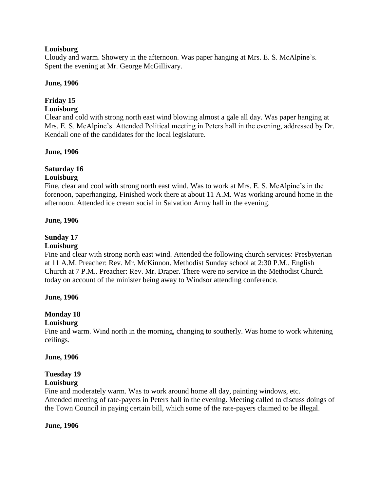#### **Louisburg**

Cloudy and warm. Showery in the afternoon. Was paper hanging at Mrs. E. S. McAlpine's. Spent the evening at Mr. George McGillivary.

#### **June, 1906**

## **Friday 15**

#### **Louisburg**

Clear and cold with strong north east wind blowing almost a gale all day. Was paper hanging at Mrs. E. S. McAlpine's. Attended Political meeting in Peters hall in the evening, addressed by Dr. Kendall one of the candidates for the local legislature.

#### **June, 1906**

# **Saturday 16**

# **Louisburg**

Fine, clear and cool with strong north east wind. Was to work at Mrs. E. S. McAlpine's in the forenoon, paperhanging. Finished work there at about 11 A.M. Was working around home in the afternoon. Attended ice cream social in Salvation Army hall in the evening.

#### **June, 1906**

# **Sunday 17**

#### **Louisburg**

Fine and clear with strong north east wind. Attended the following church services: Presbyterian at 11 A.M. Preacher: Rev. Mr. McKinnon. Methodist Sunday school at 2:30 P.M.. English Church at 7 P.M.. Preacher: Rev. Mr. Draper. There were no service in the Methodist Church today on account of the minister being away to Windsor attending conference.

#### **June, 1906**

# **Monday 18**

#### **Louisburg**

Fine and warm. Wind north in the morning, changing to southerly. Was home to work whitening ceilings.

#### **June, 1906**

#### **Tuesday 19 Louisburg**

Fine and moderately warm. Was to work around home all day, painting windows, etc. Attended meeting of rate-payers in Peters hall in the evening. Meeting called to discuss doings of the Town Council in paying certain bill, which some of the rate-payers claimed to be illegal.

#### **June, 1906**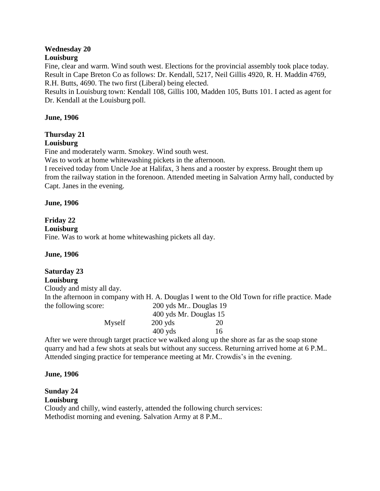# **Wednesday 20**

# **Louisburg**

Fine, clear and warm. Wind south west. Elections for the provincial assembly took place today. Result in Cape Breton Co as follows: Dr. Kendall, 5217, Neil Gillis 4920, R. H. Maddin 4769, R.H. Butts, 4690. The two first (Liberal) being elected.

Results in Louisburg town: Kendall 108, Gillis 100, Madden 105, Butts 101. I acted as agent for Dr. Kendall at the Louisburg poll.

#### **June, 1906**

# **Thursday 21**

#### **Louisburg**

Fine and moderately warm. Smokey. Wind south west.

Was to work at home whitewashing pickets in the afternoon.

I received today from Uncle Joe at Halifax, 3 hens and a rooster by express. Brought them up from the railway station in the forenoon. Attended meeting in Salvation Army hall, conducted by Capt. Janes in the evening.

#### **June, 1906**

### **Friday 22**

**Louisburg**

Fine. Was to work at home whitewashing pickets all day.

### **June, 1906**

# **Saturday 23**

### **Louisburg**

Cloudy and misty all day.

In the afternoon in company with H. A. Douglas I went to the Old Town for rifle practice. Made the following score: 200 yds Mr.. Douglas 19

| $\mu$ and $\mu$ and $\mu$ and $\mu$ and $\mu$ | $200$ yus ivii Douglas 12 |    |
|-----------------------------------------------|---------------------------|----|
|                                               | 400 yds Mr. Douglas 15    |    |
| Myself                                        | $200$ yds                 | 20 |
|                                               | $400$ yds                 | 16 |

After we were through target practice we walked along up the shore as far as the soap stone quarry and had a few shots at seals but without any success. Returning arrived home at 6 P.M.. Attended singing practice for temperance meeting at Mr. Crowdis's in the evening.

#### **June, 1906**

#### **Sunday 24 Louisburg**

Cloudy and chilly, wind easterly, attended the following church services: Methodist morning and evening. Salvation Army at 8 P.M..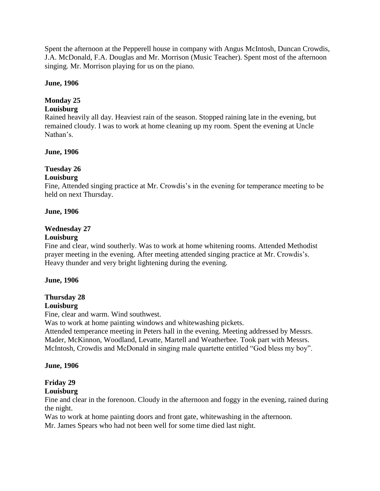Spent the afternoon at the Pepperell house in company with Angus McIntosh, Duncan Crowdis, J.A. McDonald, F.A. Douglas and Mr. Morrison (Music Teacher). Spent most of the afternoon singing. Mr. Morrison playing for us on the piano.

#### **June, 1906**

### **Monday 25**

#### **Louisburg**

Rained heavily all day. Heaviest rain of the season. Stopped raining late in the evening, but remained cloudy. I was to work at home cleaning up my room. Spent the evening at Uncle Nathan's.

#### **June, 1906**

### **Tuesday 26**

#### **Louisburg**

Fine, Attended singing practice at Mr. Crowdis's in the evening for temperance meeting to be held on next Thursday.

#### **June, 1906**

#### **Wednesday 27**

#### **Louisburg**

Fine and clear, wind southerly. Was to work at home whitening rooms. Attended Methodist prayer meeting in the evening. After meeting attended singing practice at Mr. Crowdis's. Heavy thunder and very bright lightening during the evening.

#### **June, 1906**

### **Thursday 28**

#### **Louisburg**

Fine, clear and warm. Wind southwest.

Was to work at home painting windows and whitewashing pickets.

Attended temperance meeting in Peters hall in the evening. Meeting addressed by Messrs. Mader, McKinnon, Woodland, Levatte, Martell and Weatherbee. Took part with Messrs. McIntosh, Crowdis and McDonald in singing male quartette entitled "God bless my boy".

#### **June, 1906**

### **Friday 29**

### **Louisburg**

Fine and clear in the forenoon. Cloudy in the afternoon and foggy in the evening, rained during the night.

Was to work at home painting doors and front gate, whitewashing in the afternoon.

Mr. James Spears who had not been well for some time died last night.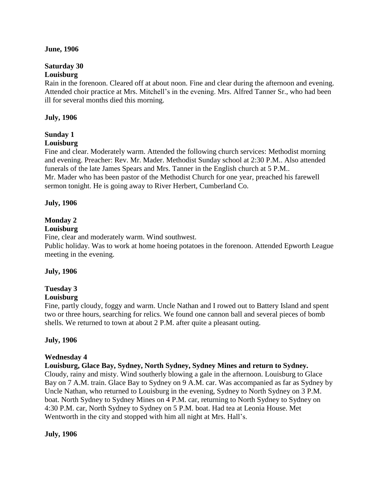#### **June, 1906**

#### **Saturday 30 Louisburg**

Rain in the forenoon. Cleared off at about noon. Fine and clear during the afternoon and evening. Attended choir practice at Mrs. Mitchell's in the evening. Mrs. Alfred Tanner Sr., who had been ill for several months died this morning.

### **July, 1906**

# **Sunday 1**

**Louisburg**

Fine and clear. Moderately warm. Attended the following church services: Methodist morning and evening. Preacher: Rev. Mr. Mader. Methodist Sunday school at 2:30 P.M.. Also attended funerals of the late James Spears and Mrs. Tanner in the English church at 5 P.M..

Mr. Mader who has been pastor of the Methodist Church for one year, preached his farewell sermon tonight. He is going away to River Herbert, Cumberland Co.

### **July, 1906**

# **Monday 2**

### **Louisburg**

Fine, clear and moderately warm. Wind southwest.

Public holiday. Was to work at home hoeing potatoes in the forenoon. Attended Epworth League meeting in the evening.

### **July, 1906**

# **Tuesday 3**

### **Louisburg**

Fine, partly cloudy, foggy and warm. Uncle Nathan and I rowed out to Battery Island and spent two or three hours, searching for relics. We found one cannon ball and several pieces of bomb shells. We returned to town at about 2 P.M. after quite a pleasant outing.

### **July, 1906**

### **Wednesday 4**

**Louisburg, Glace Bay, Sydney, North Sydney, Sydney Mines and return to Sydney.**

Cloudy, rainy and misty. Wind southerly blowing a gale in the afternoon. Louisburg to Glace Bay on 7 A.M. train. Glace Bay to Sydney on 9 A.M. car. Was accompanied as far as Sydney by Uncle Nathan, who returned to Louisburg in the evening, Sydney to North Sydney on 3 P.M. boat. North Sydney to Sydney Mines on 4 P.M. car, returning to North Sydney to Sydney on 4:30 P.M. car, North Sydney to Sydney on 5 P.M. boat. Had tea at Leonia House. Met Wentworth in the city and stopped with him all night at Mrs. Hall's.

### **July, 1906**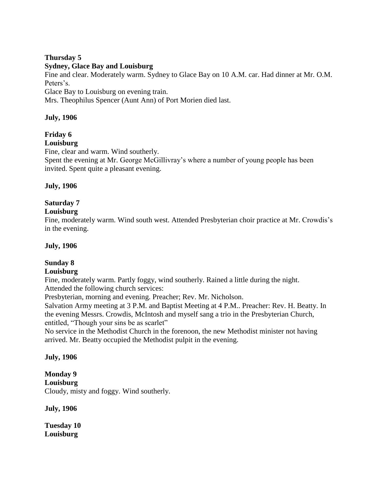### **Thursday 5**

#### **Sydney, Glace Bay and Louisburg**

Fine and clear. Moderately warm. Sydney to Glace Bay on 10 A.M. car. Had dinner at Mr. O.M. Peters's.

Glace Bay to Louisburg on evening train.

Mrs. Theophilus Spencer (Aunt Ann) of Port Morien died last.

### **July, 1906**

# **Friday 6**

### **Louisburg**

Fine, clear and warm. Wind southerly. Spent the evening at Mr. George McGillivray's where a number of young people has been invited. Spent quite a pleasant evening.

### **July, 1906**

# **Saturday 7**

### **Louisburg**

Fine, moderately warm. Wind south west. Attended Presbyterian choir practice at Mr. Crowdis's in the evening.

### **July, 1906**

# **Sunday 8**

### **Louisburg**

Fine, moderately warm. Partly foggy, wind southerly. Rained a little during the night. Attended the following church services:

Presbyterian, morning and evening. Preacher; Rev. Mr. Nicholson.

Salvation Army meeting at 3 P.M. and Baptist Meeting at 4 P.M.. Preacher: Rev. H. Beatty. In the evening Messrs. Crowdis, McIntosh and myself sang a trio in the Presbyterian Church, entitled, "Though your sins be as scarlet"

No service in the Methodist Church in the forenoon, the new Methodist minister not having arrived. Mr. Beatty occupied the Methodist pulpit in the evening.

### **July, 1906**

# **Monday 9**

**Louisburg**

Cloudy, misty and foggy. Wind southerly.

**July, 1906**

**Tuesday 10 Louisburg**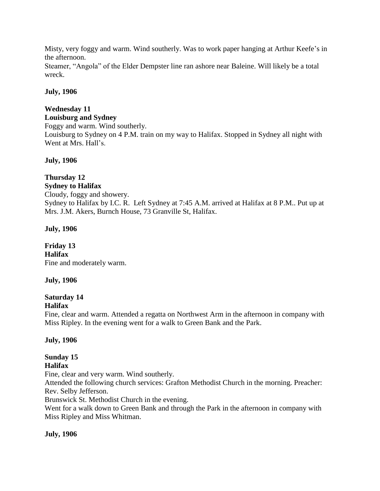Misty, very foggy and warm. Wind southerly. Was to work paper hanging at Arthur Keefe's in the afternoon.

Steamer, "Angola" of the Elder Dempster line ran ashore near Baleine. Will likely be a total wreck.

## **July, 1906**

# **Wednesday 11**

#### **Louisburg and Sydney**

Foggy and warm. Wind southerly. Louisburg to Sydney on 4 P.M. train on my way to Halifax. Stopped in Sydney all night with Went at Mrs. Hall's.

# **July, 1906**

#### **Thursday 12 Sydney to Halifax**

Cloudy, foggy and showery. Sydney to Halifax by I.C. R. Left Sydney at 7:45 A.M. arrived at Halifax at 8 P.M.. Put up at Mrs. J.M. Akers, Burnch House, 73 Granville St, Halifax.

# **July, 1906**

### **Friday 13 Halifax** Fine and moderately warm.

### **July, 1906**

# **Saturday 14**

# **Halifax**

Fine, clear and warm. Attended a regatta on Northwest Arm in the afternoon in company with Miss Ripley. In the evening went for a walk to Green Bank and the Park.

### **July, 1906**

# **Sunday 15**

# **Halifax**

Fine, clear and very warm. Wind southerly.

Attended the following church services: Grafton Methodist Church in the morning. Preacher: Rev. Selby Jefferson.

Brunswick St. Methodist Church in the evening.

Went for a walk down to Green Bank and through the Park in the afternoon in company with Miss Ripley and Miss Whitman.

# **July, 1906**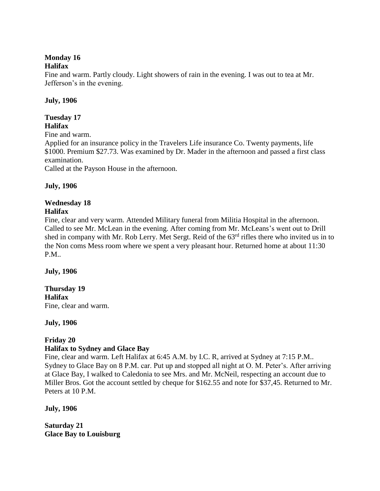# **Monday 16**

#### **Halifax**

Fine and warm. Partly cloudy. Light showers of rain in the evening. I was out to tea at Mr. Jefferson's in the evening.

### **July, 1906**

#### **Tuesday 17 Halifax**

Fine and warm.

Applied for an insurance policy in the Travelers Life insurance Co. Twenty payments, life \$1000. Premium \$27.73. Was examined by Dr. Mader in the afternoon and passed a first class examination.

Called at the Payson House in the afternoon.

### **July, 1906**

#### **Wednesday 18 Halifax**

Fine, clear and very warm. Attended Military funeral from Militia Hospital in the afternoon. Called to see Mr. McLean in the evening. After coming from Mr. McLeans's went out to Drill shed in company with Mr. Rob Lerry. Met Sergt. Reid of the 63rd rifles there who invited us in to the Non coms Mess room where we spent a very pleasant hour. Returned home at about 11:30 P.M..

**July, 1906**

#### **Thursday 19 Halifax** Fine, clear and warm.

**July, 1906**

# **Friday 20**

### **Halifax to Sydney and Glace Bay**

Fine, clear and warm. Left Halifax at 6:45 A.M. by I.C. R, arrived at Sydney at 7:15 P.M.. Sydney to Glace Bay on 8 P.M. car. Put up and stopped all night at O. M. Peter's. After arriving at Glace Bay, I walked to Caledonia to see Mrs. and Mr. McNeil, respecting an account due to Miller Bros. Got the account settled by cheque for \$162.55 and note for \$37,45. Returned to Mr. Peters at 10 P.M.

**July, 1906**

**Saturday 21 Glace Bay to Louisburg**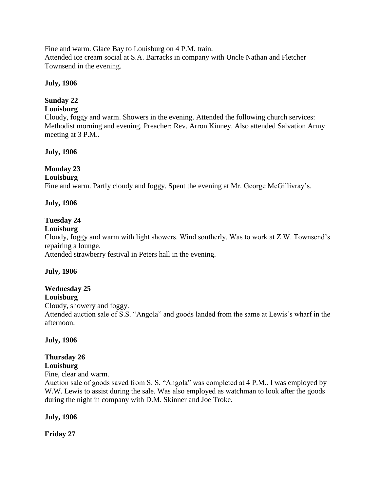Fine and warm. Glace Bay to Louisburg on 4 P.M. train. Attended ice cream social at S.A. Barracks in company with Uncle Nathan and Fletcher Townsend in the evening.

### **July, 1906**

# **Sunday 22**

# **Louisburg**

Cloudy, foggy and warm. Showers in the evening. Attended the following church services: Methodist morning and evening. Preacher: Rev. Arron Kinney. Also attended Salvation Army meeting at 3 P.M..

### **July, 1906**

# **Monday 23**

### **Louisburg**

Fine and warm. Partly cloudy and foggy. Spent the evening at Mr. George McGillivray's.

### **July, 1906**

# **Tuesday 24**

### **Louisburg**

Cloudy, foggy and warm with light showers. Wind southerly. Was to work at Z.W. Townsend's repairing a lounge.

Attended strawberry festival in Peters hall in the evening.

# **July, 1906**

# **Wednesday 25**

**Louisburg**

Cloudy, showery and foggy.

Attended auction sale of S.S. "Angola" and goods landed from the same at Lewis's wharf in the afternoon.

### **July, 1906**

# **Thursday 26**

# **Louisburg**

Fine, clear and warm.

Auction sale of goods saved from S. S. "Angola" was completed at 4 P.M.. I was employed by W.W. Lewis to assist during the sale. Was also employed as watchman to look after the goods during the night in company with D.M. Skinner and Joe Troke.

### **July, 1906**

**Friday 27**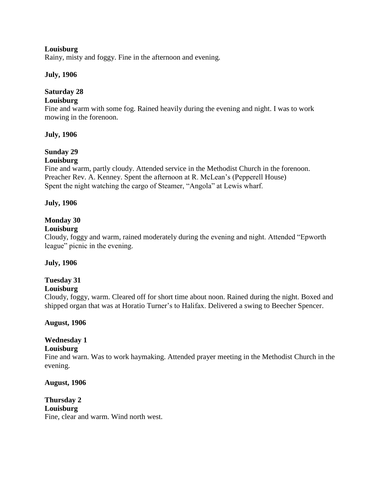#### **Louisburg**

Rainy, misty and foggy. Fine in the afternoon and evening.

#### **July, 1906**

# **Saturday 28**

#### **Louisburg**

Fine and warm with some fog. Rained heavily during the evening and night. I was to work mowing in the forenoon.

#### **July, 1906**

# **Sunday 29**

#### **Louisburg**

Fine and warm, partly cloudy. Attended service in the Methodist Church in the forenoon. Preacher Rev. A. Kenney. Spent the afternoon at R. McLean's (Pepperell House) Spent the night watching the cargo of Steamer, "Angola" at Lewis wharf.

#### **July, 1906**

### **Monday 30**

#### **Louisburg**

Cloudy, foggy and warm, rained moderately during the evening and night. Attended "Epworth league" picnic in the evening.

#### **July, 1906**

### **Tuesday 31**

#### **Louisburg**

Cloudy, foggy, warm. Cleared off for short time about noon. Rained during the night. Boxed and shipped organ that was at Horatio Turner's to Halifax. Delivered a swing to Beecher Spencer.

#### **August, 1906**

### **Wednesday 1**

#### **Louisburg**

Fine and warn. Was to work haymaking. Attended prayer meeting in the Methodist Church in the evening.

**August, 1906**

**Thursday 2 Louisburg** Fine, clear and warm. Wind north west.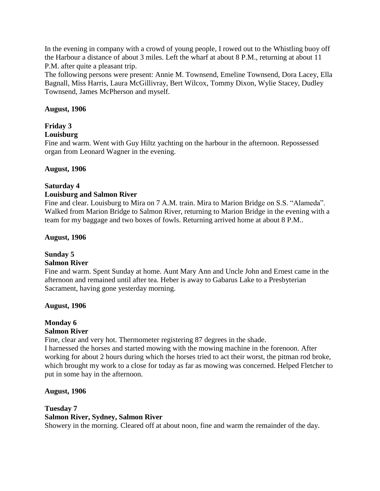In the evening in company with a crowd of young people, I rowed out to the Whistling buoy off the Harbour a distance of about 3 miles. Left the wharf at about 8 P.M., returning at about 11 P.M. after quite a pleasant trip.

The following persons were present: Annie M. Townsend, Emeline Townsend, Dora Lacey, Ella Bagnall, Miss Harris, Laura McGillivray, Bert Wilcox, Tommy Dixon, Wylie Stacey, Dudley Townsend, James McPherson and myself.

#### **August, 1906**

# **Friday 3**

#### **Louisburg**

Fine and warm. Went with Guy Hiltz yachting on the harbour in the afternoon. Repossessed organ from Leonard Wagner in the evening.

#### **August, 1906**

#### **Saturday 4**

#### **Louisburg and Salmon River**

Fine and clear. Louisburg to Mira on 7 A.M. train. Mira to Marion Bridge on S.S. "Alameda". Walked from Marion Bridge to Salmon River, returning to Marion Bridge in the evening with a team for my baggage and two boxes of fowls. Returning arrived home at about 8 P.M..

#### **August, 1906**

# **Sunday 5**

### **Salmon River**

Fine and warm. Spent Sunday at home. Aunt Mary Ann and Uncle John and Ernest came in the afternoon and remained until after tea. Heber is away to Gabarus Lake to a Presbyterian Sacrament, having gone yesterday morning.

#### **August, 1906**

#### **Monday 6 Salmon River**

Fine, clear and very hot. Thermometer registering 87 degrees in the shade.

I harnessed the horses and started mowing with the mowing machine in the forenoon. After working for about 2 hours during which the horses tried to act their worst, the pitman rod broke, which brought my work to a close for today as far as mowing was concerned. Helped Fletcher to put in some hay in the afternoon.

### **August, 1906**

### **Tuesday 7 Salmon River, Sydney, Salmon River**

Showery in the morning. Cleared off at about noon, fine and warm the remainder of the day.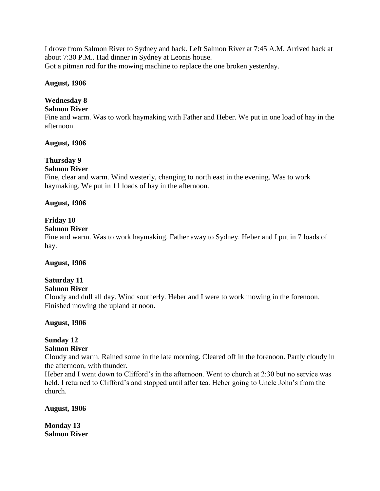I drove from Salmon River to Sydney and back. Left Salmon River at 7:45 A.M. Arrived back at about 7:30 P.M.. Had dinner in Sydney at Leonis house. Got a pitman rod for the mowing machine to replace the one broken yesterday.

#### **August, 1906**

# **Wednesday 8**

### **Salmon River**

Fine and warm. Was to work haymaking with Father and Heber. We put in one load of hay in the afternoon.

### **August, 1906**

# **Thursday 9**

# **Salmon River**

Fine, clear and warm. Wind westerly, changing to north east in the evening. Was to work haymaking. We put in 11 loads of hay in the afternoon.

#### **August, 1906**

### **Friday 10**

#### **Salmon River**

Fine and warm. Was to work haymaking. Father away to Sydney. Heber and I put in 7 loads of hay.

#### **August, 1906**

# **Saturday 11**

#### **Salmon River**

Cloudy and dull all day. Wind southerly. Heber and I were to work mowing in the forenoon. Finished mowing the upland at noon.

### **August, 1906**

# **Sunday 12**

### **Salmon River**

Cloudy and warm. Rained some in the late morning. Cleared off in the forenoon. Partly cloudy in the afternoon, with thunder.

Heber and I went down to Clifford's in the afternoon. Went to church at 2:30 but no service was held. I returned to Clifford's and stopped until after tea. Heber going to Uncle John's from the church.

**August, 1906**

**Monday 13 Salmon River**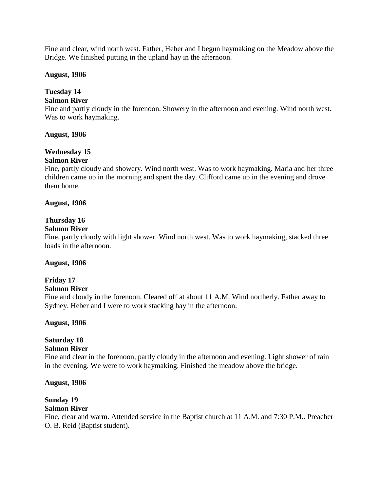Fine and clear, wind north west. Father, Heber and I begun haymaking on the Meadow above the Bridge. We finished putting in the upland hay in the afternoon.

#### **August, 1906**

# **Tuesday 14**

### **Salmon River**

Fine and partly cloudy in the forenoon. Showery in the afternoon and evening. Wind north west. Was to work haymaking.

#### **August, 1906**

# **Wednesday 15**

## **Salmon River**

Fine, partly cloudy and showery. Wind north west. Was to work haymaking. Maria and her three children came up in the morning and spent the day. Clifford came up in the evening and drove them home.

#### **August, 1906**

### **Thursday 16**

#### **Salmon River**

Fine, partly cloudy with light shower. Wind north west. Was to work haymaking, stacked three loads in the afternoon.

#### **August, 1906**

# **Friday 17**

#### **Salmon River**

Fine and cloudy in the forenoon. Cleared off at about 11 A.M. Wind northerly. Father away to Sydney. Heber and I were to work stacking hay in the afternoon.

### **August, 1906**

# **Saturday 18**

#### **Salmon River**

Fine and clear in the forenoon, partly cloudy in the afternoon and evening. Light shower of rain in the evening. We were to work haymaking. Finished the meadow above the bridge.

#### **August, 1906**

# **Sunday 19**

### **Salmon River**

Fine, clear and warm. Attended service in the Baptist church at 11 A.M. and 7:30 P.M.. Preacher O. B. Reid (Baptist student).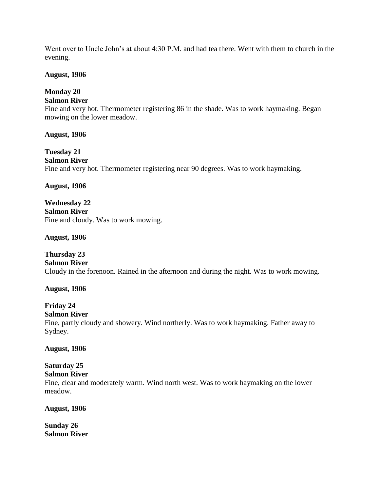Went over to Uncle John's at about 4:30 P.M. and had tea there. Went with them to church in the evening.

#### **August, 1906**

# **Monday 20**

# **Salmon River**

Fine and very hot. Thermometer registering 86 in the shade. Was to work haymaking. Began mowing on the lower meadow.

**August, 1906**

**Tuesday 21 Salmon River** Fine and very hot. Thermometer registering near 90 degrees. Was to work haymaking.

### **August, 1906**

**Wednesday 22 Salmon River** Fine and cloudy. Was to work mowing.

**August, 1906**

**Thursday 23 Salmon River** Cloudy in the forenoon. Rained in the afternoon and during the night. Was to work mowing.

#### **August, 1906**

# **Friday 24**

## **Salmon River**

Fine, partly cloudy and showery. Wind northerly. Was to work haymaking. Father away to Sydney.

#### **August, 1906**

#### **Saturday 25 Salmon River**

Fine, clear and moderately warm. Wind north west. Was to work haymaking on the lower meadow.

#### **August, 1906**

**Sunday 26 Salmon River**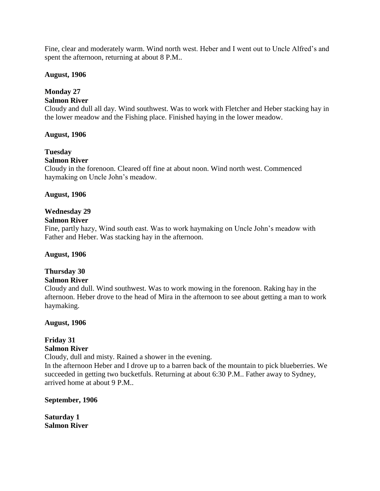Fine, clear and moderately warm. Wind north west. Heber and I went out to Uncle Alfred's and spent the afternoon, returning at about 8 P.M..

#### **August, 1906**

# **Monday 27**

### **Salmon River**

Cloudy and dull all day. Wind southwest. Was to work with Fletcher and Heber stacking hay in the lower meadow and the Fishing place. Finished haying in the lower meadow.

#### **August, 1906**

# **Tuesday**

#### **Salmon River**

Cloudy in the forenoon. Cleared off fine at about noon. Wind north west. Commenced haymaking on Uncle John's meadow.

#### **August, 1906**

### **Wednesday 29**

### **Salmon River**

Fine, partly hazy, Wind south east. Was to work haymaking on Uncle John's meadow with Father and Heber. Was stacking hay in the afternoon.

#### **August, 1906**

# **Thursday 30**

#### **Salmon River**

Cloudy and dull. Wind southwest. Was to work mowing in the forenoon. Raking hay in the afternoon. Heber drove to the head of Mira in the afternoon to see about getting a man to work haymaking.

### **August, 1906**

#### **Friday 31 Salmon River**

Cloudy, dull and misty. Rained a shower in the evening.

In the afternoon Heber and I drove up to a barren back of the mountain to pick blueberries. We succeeded in getting two bucketfuls. Returning at about 6:30 P.M.. Father away to Sydney, arrived home at about 9 P.M..

#### **September, 1906**

**Saturday 1 Salmon River**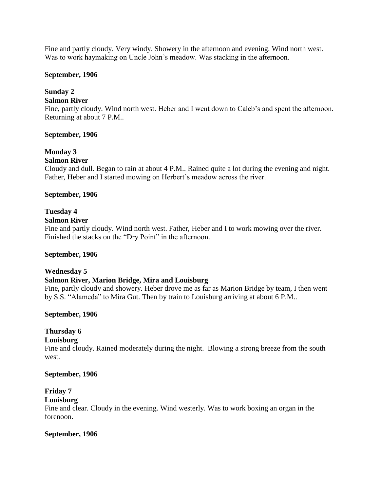Fine and partly cloudy. Very windy. Showery in the afternoon and evening. Wind north west. Was to work haymaking on Uncle John's meadow. Was stacking in the afternoon.

#### **September, 1906**

# **Sunday 2**

#### **Salmon River**

Fine, partly cloudy. Wind north west. Heber and I went down to Caleb's and spent the afternoon. Returning at about 7 P.M..

#### **September, 1906**

# **Monday 3**

#### **Salmon River**

Cloudy and dull. Began to rain at about 4 P.M.. Rained quite a lot during the evening and night. Father, Heber and I started mowing on Herbert's meadow across the river.

#### **September, 1906**

# **Tuesday 4**

#### **Salmon River**

Fine and partly cloudy. Wind north west. Father, Heber and I to work mowing over the river. Finished the stacks on the "Dry Point" in the afternoon.

#### **September, 1906**

### **Wednesday 5**

### **Salmon River, Marion Bridge, Mira and Louisburg**

Fine, partly cloudy and showery. Heber drove me as far as Marion Bridge by team, I then went by S.S. "Alameda" to Mira Gut. Then by train to Louisburg arriving at about 6 P.M..

#### **September, 1906**

### **Thursday 6**

#### **Louisburg**

Fine and cloudy. Rained moderately during the night. Blowing a strong breeze from the south west.

#### **September, 1906**

# **Friday 7**

# **Louisburg**

Fine and clear. Cloudy in the evening. Wind westerly. Was to work boxing an organ in the forenoon.

#### **September, 1906**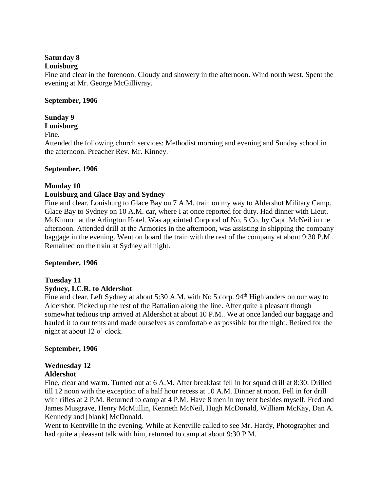### **Saturday 8**

### **Louisburg**

Fine and clear in the forenoon. Cloudy and showery in the afternoon. Wind north west. Spent the evening at Mr. George McGillivray.

#### **September, 1906**

### **Sunday 9**

#### **Louisburg**

Fine.

Attended the following church services: Methodist morning and evening and Sunday school in the afternoon. Preacher Rev. Mr. Kinney.

### **September, 1906**

### **Monday 10**

### **Louisburg and Glace Bay and Sydney**

Fine and clear. Louisburg to Glace Bay on 7 A.M. train on my way to Aldershot Military Camp. Glace Bay to Sydney on 10 A.M. car, where I at once reported for duty. Had dinner with Lieut. McKinnon at the Arlington Hotel. Was appointed Corporal of No. 5 Co. by Capt. McNeil in the afternoon. Attended drill at the Armories in the afternoon, was assisting in shipping the company baggage in the evening. Went on board the train with the rest of the company at about 9:30 P.M.. Remained on the train at Sydney all night.

### **September, 1906**

# **Tuesday 11**

### **Sydney, I.C.R. to Aldershot**

Fine and clear. Left Sydney at about 5:30 A.M. with No 5 corp. 94<sup>th</sup> Highlanders on our way to Aldershot. Picked up the rest of the Battalion along the line. After quite a pleasant though somewhat tedious trip arrived at Aldershot at about 10 P.M.. We at once landed our baggage and hauled it to our tents and made ourselves as comfortable as possible for the night. Retired for the night at about 12 o' clock.

### **September, 1906**

# **Wednesday 12**

### **Aldershot**

Fine, clear and warm. Turned out at 6 A.M. After breakfast fell in for squad drill at 8:30. Drilled till 12 noon with the exception of a half hour recess at 10 A.M. Dinner at noon. Fell in for drill with rifles at 2 P.M. Returned to camp at 4 P.M. Have 8 men in my tent besides myself. Fred and James Musgrave, Henry McMullin, Kenneth McNeil, Hugh McDonald, William McKay, Dan A. Kennedy and [blank] McDonald.

Went to Kentville in the evening. While at Kentville called to see Mr. Hardy, Photographer and had quite a pleasant talk with him, returned to camp at about 9:30 P.M.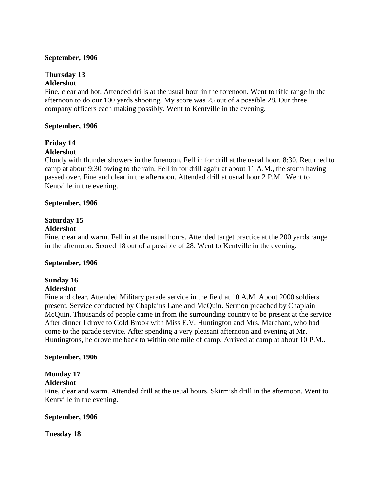#### **September, 1906**

#### **Thursday 13 Aldershot**

Fine, clear and hot. Attended drills at the usual hour in the forenoon. Went to rifle range in the afternoon to do our 100 yards shooting. My score was 25 out of a possible 28. Our three company officers each making possibly. Went to Kentville in the evening.

#### **September, 1906**

# **Friday 14**

# **Aldershot**

Cloudy with thunder showers in the forenoon. Fell in for drill at the usual hour. 8:30. Returned to camp at about 9:30 owing to the rain. Fell in for drill again at about 11 A.M., the storm having passed over. Fine and clear in the afternoon. Attended drill at usual hour 2 P.M.. Went to Kentville in the evening.

#### **September, 1906**

# **Saturday 15**

#### **Aldershot**

Fine, clear and warm. Fell in at the usual hours. Attended target practice at the 200 yards range in the afternoon. Scored 18 out of a possible of 28. Went to Kentville in the evening.

### **September, 1906**

#### **Sunday 16 Aldershot**

Fine and clear. Attended Military parade service in the field at 10 A.M. About 2000 soldiers present. Service conducted by Chaplains Lane and McQuin. Sermon preached by Chaplain McQuin. Thousands of people came in from the surrounding country to be present at the service. After dinner I drove to Cold Brook with Miss E.V. Huntington and Mrs. Marchant, who had come to the parade service. After spending a very pleasant afternoon and evening at Mr. Huntingtons, he drove me back to within one mile of camp. Arrived at camp at about 10 P.M..

#### **September, 1906**

#### **Monday 17 Aldershot**

Fine, clear and warm. Attended drill at the usual hours. Skirmish drill in the afternoon. Went to Kentville in the evening.

### **September, 1906**

**Tuesday 18**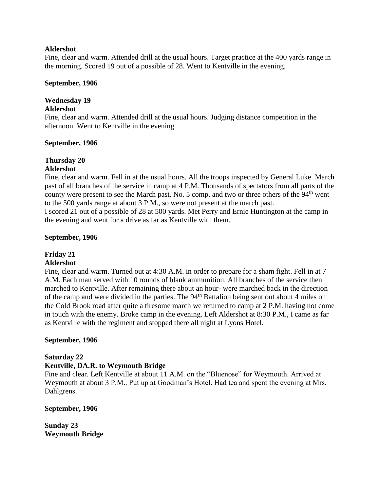#### **Aldershot**

Fine, clear and warm. Attended drill at the usual hours. Target practice at the 400 yards range in the morning. Scored 19 out of a possible of 28. Went to Kentville in the evening.

#### **September, 1906**

# **Wednesday 19**

### **Aldershot**

Fine, clear and warm. Attended drill at the usual hours. Judging distance competition in the afternoon. Went to Kentville in the evening.

#### **September, 1906**

#### **Thursday 20 Aldershot**

Fine, clear and warm. Fell in at the usual hours. All the troops inspected by General Luke. March past of all branches of the service in camp at 4 P.M. Thousands of spectators from all parts of the county were present to see the March past. No. 5 comp. and two or three others of the  $94<sup>th</sup>$  went to the 500 yards range at about 3 P.M., so were not present at the march past.

I scored 21 out of a possible of 28 at 500 yards. Met Perry and Ernie Huntington at the camp in the evening and went for a drive as far as Kentville with them.

### **September, 1906**

# **Friday 21**

### **Aldershot**

Fine, clear and warm. Turned out at 4:30 A.M. in order to prepare for a sham fight. Fell in at 7 A.M. Each man served with 10 rounds of blank ammunition. All branches of the service then marched to Kentville. After remaining there about an hour- were marched back in the direction of the camp and were divided in the parties. The 94<sup>th</sup> Battalion being sent out about 4 miles on the Cold Brook road after quite a tiresome march we returned to camp at 2 P.M. having not come in touch with the enemy. Broke camp in the evening. Left Aldershot at 8:30 P.M., I came as far as Kentville with the regiment and stopped there all night at Lyons Hotel.

### **September, 1906**

### **Saturday 22**

# **Kentville, DA.R. to Weymouth Bridge**

Fine and clear. Left Kentville at about 11 A.M. on the "Bluenose" for Weymouth. Arrived at Weymouth at about 3 P.M.. Put up at Goodman's Hotel. Had tea and spent the evening at Mrs. Dahlgrens.

### **September, 1906**

**Sunday 23 Weymouth Bridge**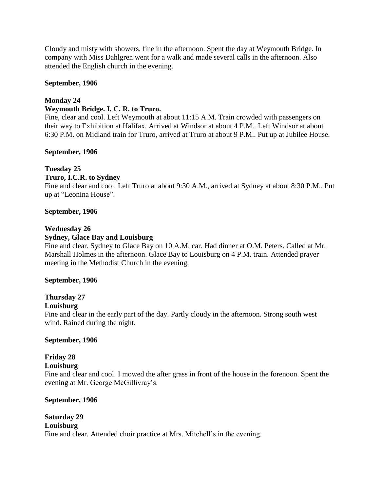Cloudy and misty with showers, fine in the afternoon. Spent the day at Weymouth Bridge. In company with Miss Dahlgren went for a walk and made several calls in the afternoon. Also attended the English church in the evening.

#### **September, 1906**

### **Monday 24**

#### **Weymouth Bridge. I. C. R. to Truro.**

Fine, clear and cool. Left Weymouth at about 11:15 A.M. Train crowded with passengers on their way to Exhibition at Halifax. Arrived at Windsor at about 4 P.M.. Left Windsor at about 6:30 P.M. on Midland train for Truro, arrived at Truro at about 9 P.M.. Put up at Jubilee House.

#### **September, 1906**

### **Tuesday 25**

### **Truro, I.C.R. to Sydney**

Fine and clear and cool. Left Truro at about 9:30 A.M., arrived at Sydney at about 8:30 P.M.. Put up at "Leonina House".

#### **September, 1906**

#### **Wednesday 26**

### **Sydney, Glace Bay and Louisburg**

Fine and clear. Sydney to Glace Bay on 10 A.M. car. Had dinner at O.M. Peters. Called at Mr. Marshall Holmes in the afternoon. Glace Bay to Louisburg on 4 P.M. train. Attended prayer meeting in the Methodist Church in the evening.

#### **September, 1906**

# **Thursday 27**

#### **Louisburg**

Fine and clear in the early part of the day. Partly cloudy in the afternoon. Strong south west wind. Rained during the night.

#### **September, 1906**

### **Friday 28**

### **Louisburg**

Fine and clear and cool. I mowed the after grass in front of the house in the forenoon. Spent the evening at Mr. George McGillivray's.

#### **September, 1906**

#### **Saturday 29 Louisburg** Fine and clear. Attended choir practice at Mrs. Mitchell's in the evening.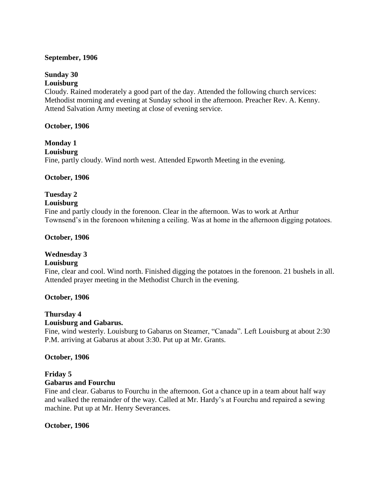#### **September, 1906**

# **Sunday 30**

# **Louisburg**

Cloudy. Rained moderately a good part of the day. Attended the following church services: Methodist morning and evening at Sunday school in the afternoon. Preacher Rev. A. Kenny. Attend Salvation Army meeting at close of evening service.

#### **October, 1906**

# **Monday 1**

**Louisburg**

Fine, partly cloudy. Wind north west. Attended Epworth Meeting in the evening.

#### **October, 1906**

### **Tuesday 2**

#### **Louisburg**

Fine and partly cloudy in the forenoon. Clear in the afternoon. Was to work at Arthur Townsend's in the forenoon whitening a ceiling. Was at home in the afternoon digging potatoes.

#### **October, 1906**

### **Wednesday 3**

#### **Louisburg**

Fine, clear and cool. Wind north. Finished digging the potatoes in the forenoon. 21 bushels in all. Attended prayer meeting in the Methodist Church in the evening.

#### **October, 1906**

#### **Thursday 4**

#### **Louisburg and Gabarus.**

Fine, wind westerly. Louisburg to Gabarus on Steamer, "Canada". Left Louisburg at about 2:30 P.M. arriving at Gabarus at about 3:30. Put up at Mr. Grants.

#### **October, 1906**

#### **Friday 5 Gabarus and Fourchu**

Fine and clear. Gabarus to Fourchu in the afternoon. Got a chance up in a team about half way and walked the remainder of the way. Called at Mr. Hardy's at Fourchu and repaired a sewing machine. Put up at Mr. Henry Severances.

#### **October, 1906**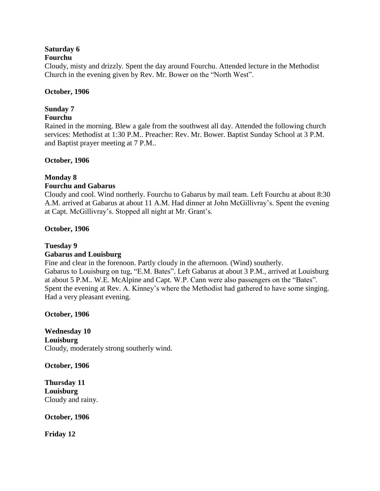# **Saturday 6**

#### **Fourchu**

Cloudy, misty and drizzly. Spent the day around Fourchu. Attended lecture in the Methodist Church in the evening given by Rev. Mr. Bower on the "North West".

#### **October, 1906**

### **Sunday 7**

### **Fourchu**

Rained in the morning. Blew a gale from the southwest all day. Attended the following church services: Methodist at 1:30 P.M.. Preacher: Rev. Mr. Bower. Baptist Sunday School at 3 P.M. and Baptist prayer meeting at 7 P.M..

#### **October, 1906**

#### **Monday 8 Fourchu and Gabarus**

Cloudy and cool. Wind northerly. Fourchu to Gabarus by mail team. Left Fourchu at about 8:30 A.M. arrived at Gabarus at about 11 A.M. Had dinner at John McGillivray's. Spent the evening at Capt. McGillivray's. Stopped all night at Mr. Grant's.

### **October, 1906**

### **Tuesday 9 Gabarus and Louisburg**

Fine and clear in the forenoon. Partly cloudy in the afternoon. (Wind) southerly. Gabarus to Louisburg on tug, "E.M. Bates". Left Gabarus at about 3 P.M., arrived at Louisburg at about 5 P.M.. W.E. McAlpine and Capt. W.P. Cann were also passengers on the "Bates". Spent the evening at Rev. A. Kinney's where the Methodist had gathered to have some singing. Had a very pleasant evening.

**October, 1906**

**Wednesday 10 Louisburg** Cloudy, moderately strong southerly wind.

**October, 1906**

**Thursday 11 Louisburg** Cloudy and rainy.

**October, 1906**

**Friday 12**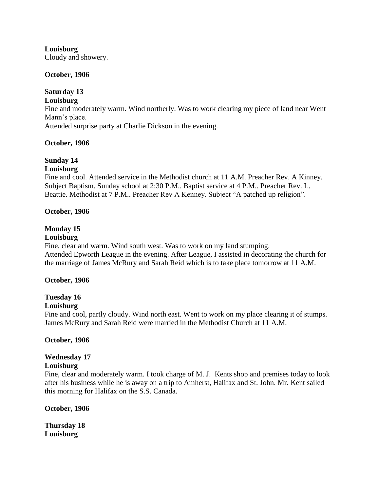**Louisburg** Cloudy and showery.

#### **October, 1906**

# **Saturday 13**

#### **Louisburg**

Fine and moderately warm. Wind northerly. Was to work clearing my piece of land near Went Mann's place.

Attended surprise party at Charlie Dickson in the evening.

### **October, 1906**

#### **Sunday 14 Louisburg**

Fine and cool. Attended service in the Methodist church at 11 A.M. Preacher Rev. A Kinney. Subject Baptism. Sunday school at 2:30 P.M.. Baptist service at 4 P.M.. Preacher Rev. L. Beattie. Methodist at 7 P.M.. Preacher Rev A Kenney. Subject "A patched up religion".

### **October, 1906**

### **Monday 15**

#### **Louisburg**

Fine, clear and warm. Wind south west. Was to work on my land stumping. Attended Epworth League in the evening. After League, I assisted in decorating the church for the marriage of James McRury and Sarah Reid which is to take place tomorrow at 11 A.M.

### **October, 1906**

# **Tuesday 16**

### **Louisburg**

Fine and cool, partly cloudy. Wind north east. Went to work on my place clearing it of stumps. James McRury and Sarah Reid were married in the Methodist Church at 11 A.M.

### **October, 1906**

### **Wednesday 17**

### **Louisburg**

Fine, clear and moderately warm. I took charge of M. J. Kents shop and premises today to look after his business while he is away on a trip to Amherst, Halifax and St. John. Mr. Kent sailed this morning for Halifax on the S.S. Canada.

### **October, 1906**

**Thursday 18 Louisburg**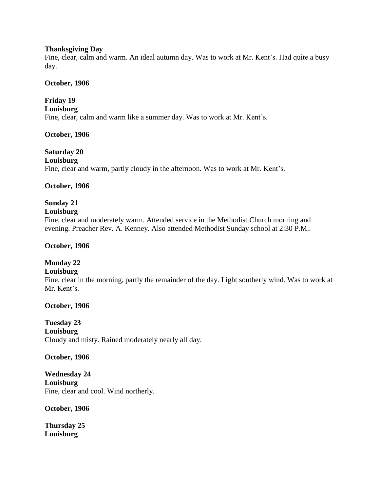#### **Thanksgiving Day**

Fine, clear, calm and warm. An ideal autumn day. Was to work at Mr. Kent's. Had quite a busy day.

#### **October, 1906**

#### **Friday 19**

**Louisburg** Fine, clear, calm and warm like a summer day. Was to work at Mr. Kent's.

### **October, 1906**

**Saturday 20**

# **Louisburg**

Fine, clear and warm, partly cloudy in the afternoon. Was to work at Mr. Kent's.

#### **October, 1906**

# **Sunday 21**

#### **Louisburg**

Fine, clear and moderately warm. Attended service in the Methodist Church morning and evening. Preacher Rev. A. Kenney. Also attended Methodist Sunday school at 2:30 P.M..

#### **October, 1906**

### **Monday 22**

#### **Louisburg**

Fine, clear in the morning, partly the remainder of the day. Light southerly wind. Was to work at Mr. Kent's.

### **October, 1906**

**Tuesday 23 Louisburg** Cloudy and misty. Rained moderately nearly all day.

#### **October, 1906**

**Wednesday 24 Louisburg** Fine, clear and cool. Wind northerly.

**October, 1906**

**Thursday 25 Louisburg**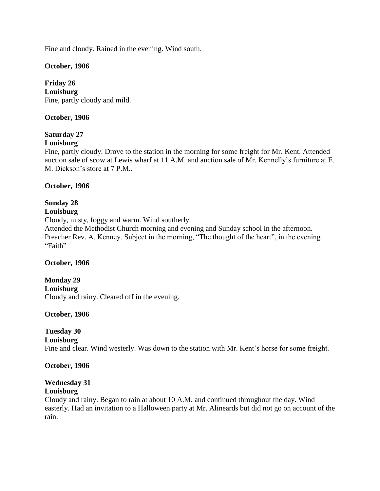Fine and cloudy. Rained in the evening. Wind south.

#### **October, 1906**

### **Friday 26**

**Louisburg** Fine, partly cloudy and mild.

#### **October, 1906**

# **Saturday 27**

### **Louisburg**

Fine, partly cloudy. Drove to the station in the morning for some freight for Mr. Kent. Attended auction sale of scow at Lewis wharf at 11 A.M. and auction sale of Mr. Kennelly's furniture at E. M. Dickson's store at 7 P.M..

#### **October, 1906**

# **Sunday 28**

# **Louisburg**

Cloudy, misty, foggy and warm. Wind southerly.

Attended the Methodist Church morning and evening and Sunday school in the afternoon. Preacher Rev. A. Kenney. Subject in the morning, "The thought of the heart", in the evening "Faith"

#### **October, 1906**

#### **Monday 29 Louisburg** Cloudy and rainy. Cleared off in the evening.

#### **October, 1906**

### **Tuesday 30**

**Louisburg**

Fine and clear. Wind westerly. Was down to the station with Mr. Kent's horse for some freight.

#### **October, 1906**

# **Wednesday 31**

#### **Louisburg**

Cloudy and rainy. Began to rain at about 10 A.M. and continued throughout the day. Wind easterly. Had an invitation to a Halloween party at Mr. Alineards but did not go on account of the rain.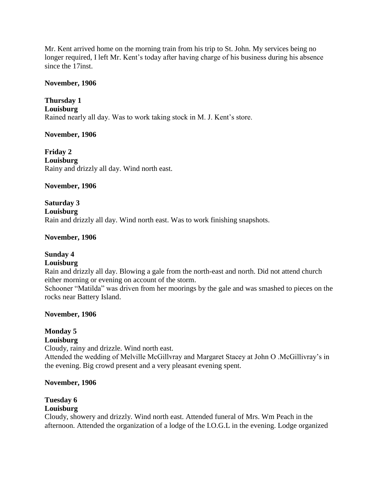Mr. Kent arrived home on the morning train from his trip to St. John. My services being no longer required, I left Mr. Kent's today after having charge of his business during his absence since the 17inst.

#### **November, 1906**

**Thursday 1 Louisburg** Rained nearly all day. Was to work taking stock in M. J. Kent's store.

#### **November, 1906**

**Friday 2 Louisburg** Rainy and drizzly all day. Wind north east.

**November, 1906**

**Saturday 3 Louisburg** Rain and drizzly all day. Wind north east. Was to work finishing snapshots.

#### **November, 1906**

### **Sunday 4**

#### **Louisburg**

Rain and drizzly all day. Blowing a gale from the north-east and north. Did not attend church either morning or evening on account of the storm.

Schooner "Matilda" was driven from her moorings by the gale and was smashed to pieces on the rocks near Battery Island.

#### **November, 1906**

# **Monday 5**

### **Louisburg**

Cloudy, rainy and drizzle. Wind north east. Attended the wedding of Melville McGillvray and Margaret Stacey at John O .McGillivray's in the evening. Big crowd present and a very pleasant evening spent.

#### **November, 1906**

# **Tuesday 6**

#### **Louisburg**

Cloudy, showery and drizzly. Wind north east. Attended funeral of Mrs. Wm Peach in the afternoon. Attended the organization of a lodge of the I.O.G.L in the evening. Lodge organized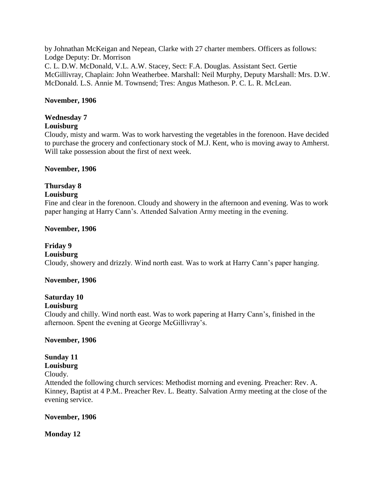by Johnathan McKeigan and Nepean, Clarke with 27 charter members. Officers as follows: Lodge Deputy: Dr. Morrison C. L. D.W. McDonald, V.L. A.W. Stacey, Sect: F.A. Douglas. Assistant Sect. Gertie McGillivray, Chaplain: John Weatherbee. Marshall: Neil Murphy, Deputy Marshall: Mrs. D.W. McDonald. L.S. Annie M. Townsend; Tres: Angus Matheson. P. C. L. R. McLean.

#### **November, 1906**

### **Wednesday 7**

#### **Louisburg**

Cloudy, misty and warm. Was to work harvesting the vegetables in the forenoon. Have decided to purchase the grocery and confectionary stock of M.J. Kent, who is moving away to Amherst. Will take possession about the first of next week.

#### **November, 1906**

# **Thursday 8**

#### **Louisburg**

Fine and clear in the forenoon. Cloudy and showery in the afternoon and evening. Was to work paper hanging at Harry Cann's. Attended Salvation Army meeting in the evening.

#### **November, 1906**

### **Friday 9**

#### **Louisburg**

Cloudy, showery and drizzly. Wind north east. Was to work at Harry Cann's paper hanging.

#### **November, 1906**

# **Saturday 10**

### **Louisburg**

Cloudy and chilly. Wind north east. Was to work papering at Harry Cann's, finished in the afternoon. Spent the evening at George McGillivray's.

#### **November, 1906**

### **Sunday 11**

### **Louisburg**

Cloudy.

Attended the following church services: Methodist morning and evening. Preacher: Rev. A. Kinney, Baptist at 4 P.M.. Preacher Rev. L. Beatty. Salvation Army meeting at the close of the evening service.

#### **November, 1906**

#### **Monday 12**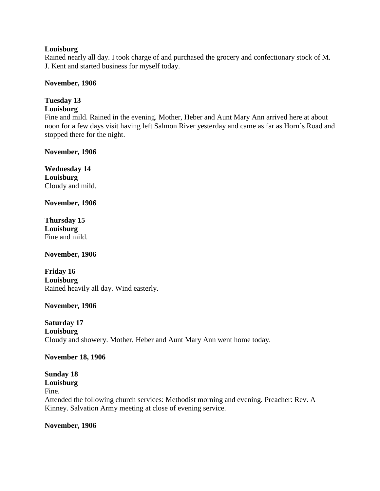#### **Louisburg**

Rained nearly all day. I took charge of and purchased the grocery and confectionary stock of M. J. Kent and started business for myself today.

#### **November, 1906**

# **Tuesday 13**

# **Louisburg**

Fine and mild. Rained in the evening. Mother, Heber and Aunt Mary Ann arrived here at about noon for a few days visit having left Salmon River yesterday and came as far as Horn's Road and stopped there for the night.

**November, 1906**

**Wednesday 14 Louisburg** Cloudy and mild.

**November, 1906**

**Thursday 15 Louisburg** Fine and mild.

**November, 1906**

**Friday 16 Louisburg** Rained heavily all day. Wind easterly.

### **November, 1906**

**Saturday 17 Louisburg** Cloudy and showery. Mother, Heber and Aunt Mary Ann went home today.

#### **November 18, 1906**

#### **Sunday 18 Louisburg**

# Fine.

Attended the following church services: Methodist morning and evening. Preacher: Rev. A Kinney. Salvation Army meeting at close of evening service.

#### **November, 1906**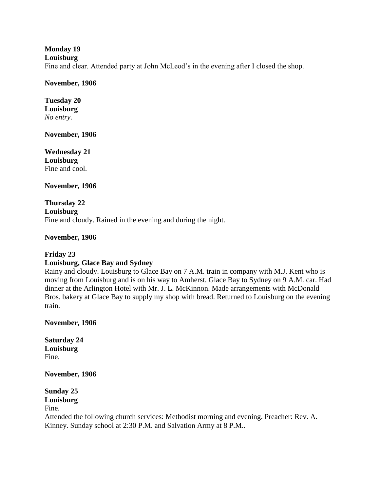## **Monday 19**

#### **Louisburg**

Fine and clear. Attended party at John McLeod's in the evening after I closed the shop.

#### **November, 1906**

#### **Tuesday 20 Louisburg** *No entry.*

**November, 1906**

**Wednesday 21 Louisburg** Fine and cool.

**November, 1906**

**Thursday 22 Louisburg** Fine and cloudy. Rained in the evening and during the night.

**November, 1906**

# **Friday 23**

### **Louisburg, Glace Bay and Sydney**

Rainy and cloudy. Louisburg to Glace Bay on 7 A.M. train in company with M.J. Kent who is moving from Louisburg and is on his way to Amherst. Glace Bay to Sydney on 9 A.M. car. Had dinner at the Arlington Hotel with Mr. J. L. McKinnon. Made arrangements with McDonald Bros. bakery at Glace Bay to supply my shop with bread. Returned to Louisburg on the evening train.

**November, 1906**

**Saturday 24 Louisburg** Fine.

**November, 1906**

**Sunday 25 Louisburg**

Fine.

Attended the following church services: Methodist morning and evening. Preacher: Rev. A. Kinney. Sunday school at 2:30 P.M. and Salvation Army at 8 P.M..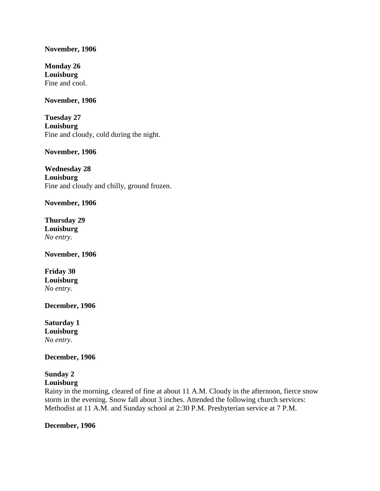#### **November, 1906**

**Monday 26 Louisburg** Fine and cool.

#### **November, 1906**

**Tuesday 27 Louisburg** Fine and cloudy, cold during the night.

**November, 1906**

**Wednesday 28 Louisburg** Fine and cloudy and chilly, ground frozen.

**November, 1906**

**Thursday 29 Louisburg** *No entry.*

**November, 1906**

**Friday 30 Louisburg** *No entry.*

**December, 1906**

**Saturday 1 Louisburg** *No entry.*

**December, 1906**

#### **Sunday 2 Louisburg**

Rainy in the morning, cleared of fine at about 11 A.M. Cloudy in the afternoon, fierce snow storm in the evening. Snow fall about 3 inches. Attended the following church services: Methodist at 11 A.M. and Sunday school at 2:30 P.M. Presbyterian service at 7 P.M.

#### **December, 1906**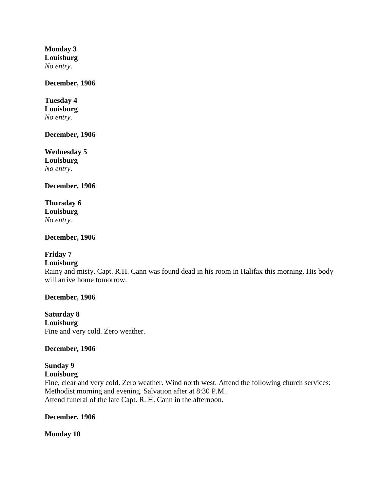**Monday 3 Louisburg** *No entry.*

#### **December, 1906**

**Tuesday 4 Louisburg** *No entry.*

**December, 1906**

**Wednesday 5 Louisburg** *No entry.*

**December, 1906**

**Thursday 6 Louisburg** *No entry.*

**December, 1906**

#### **Friday 7**

#### **Louisburg**

Rainy and misty. Capt. R.H. Cann was found dead in his room in Halifax this morning. His body will arrive home tomorrow.

#### **December, 1906**

**Saturday 8 Louisburg** Fine and very cold. Zero weather.

#### **December, 1906**

# **Sunday 9**

## **Louisburg**

Fine, clear and very cold. Zero weather. Wind north west. Attend the following church services: Methodist morning and evening. Salvation after at 8:30 P.M.. Attend funeral of the late Capt. R. H. Cann in the afternoon.

#### **December, 1906**

**Monday 10**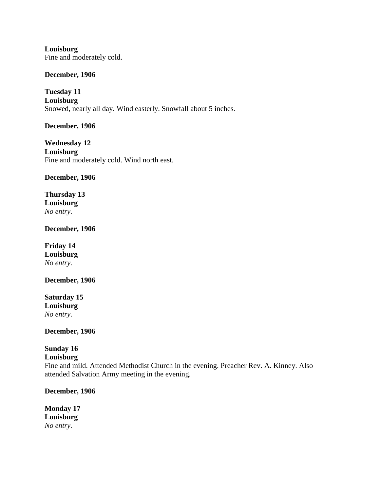**Louisburg** Fine and moderately cold.

**December, 1906**

**Tuesday 11 Louisburg** Snowed, nearly all day. Wind easterly. Snowfall about 5 inches.

**December, 1906**

**Wednesday 12 Louisburg** Fine and moderately cold. Wind north east.

**December, 1906**

**Thursday 13 Louisburg** *No entry.*

**December, 1906**

**Friday 14 Louisburg** *No entry.*

**December, 1906**

**Saturday 15 Louisburg** *No entry.*

**December, 1906**

# **Sunday 16**

### **Louisburg**

Fine and mild. Attended Methodist Church in the evening. Preacher Rev. A. Kinney. Also attended Salvation Army meeting in the evening.

**December, 1906**

**Monday 17 Louisburg** *No entry.*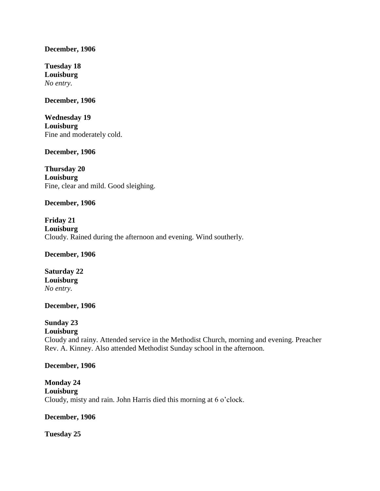#### **December, 1906**

**Tuesday 18 Louisburg** *No entry.*

#### **December, 1906**

**Wednesday 19 Louisburg** Fine and moderately cold.

#### **December, 1906**

**Thursday 20 Louisburg** Fine, clear and mild. Good sleighing.

#### **December, 1906**

**Friday 21 Louisburg** Cloudy. Rained during the afternoon and evening. Wind southerly.

**December, 1906**

**Saturday 22 Louisburg** *No entry.*

#### **December, 1906**

# **Sunday 23**

#### **Louisburg**

Cloudy and rainy. Attended service in the Methodist Church, morning and evening. Preacher Rev. A. Kinney. Also attended Methodist Sunday school in the afternoon.

#### **December, 1906**

**Monday 24 Louisburg** Cloudy, misty and rain. John Harris died this morning at 6 o'clock.

#### **December, 1906**

**Tuesday 25**